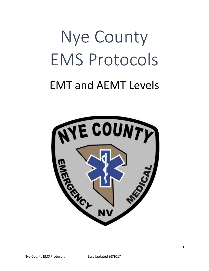# Nye County EMS Protocols

### EMT and AEMT Levels

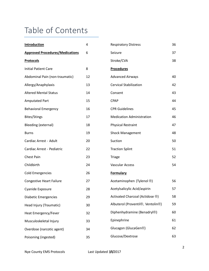### Table of Contents

| Introduction                           | 4  | <b>Respiratory Distress</b>                                 | 36 |
|----------------------------------------|----|-------------------------------------------------------------|----|
| <b>Approved Procedures/Medications</b> | 6  | Seizure                                                     | 37 |
| <b>Protocols</b>                       |    | Stroke/CVA                                                  | 38 |
| <b>Initial Patient Care</b>            | 8  | <b>Procedures</b>                                           |    |
| Abdominal Pain (non-traumatic)         | 12 | <b>Advanced Airways</b>                                     | 40 |
| Allergy/Anaphylaxis                    | 13 | <b>Cervical Stabilization</b>                               | 42 |
| <b>Altered Mental Status</b>           | 14 | Consent                                                     | 43 |
| <b>Amputated Part</b>                  | 15 | <b>CPAP</b>                                                 | 44 |
| <b>Behavioral Emergency</b>            | 16 | <b>CPR Guidelines</b>                                       | 45 |
| <b>Bites/Stings</b>                    | 17 | <b>Medication Administration</b>                            | 46 |
| Bleeding (external)                    | 18 | Physical Restraint                                          | 47 |
| <b>Burns</b>                           | 19 | <b>Shock Management</b>                                     | 48 |
| Cardiac Arrest - Adult                 | 20 | Suction                                                     | 50 |
| Cardiac Arrest - Pediatric             | 22 | <b>Traction Splint</b>                                      | 51 |
| Chest Pain                             | 23 | <b>Triage</b>                                               | 52 |
| Childbirth                             | 24 | Vascular Access                                             | 54 |
| <b>Cold Emergencies</b>                | 26 | <b>Formulary</b>                                            |    |
| <b>Congestive Heart Failure</b>        | 27 | Acetaminophen (Tylenol ®)                                   | 56 |
| Cyanide Exposure                       | 28 | Acetylsalicylic Acid/aspirin                                | 57 |
| <b>Diabetic Emergencies</b>            | 29 | Activated Charcoal (Actidose ®)                             | 58 |
| Head Injury (Traumatic)                | 30 | Albuterol (Proventil <sup>®</sup> , Ventolin <sup>®</sup> ) | 59 |
| Heat Emergency/Fever                   | 32 | Diphenhydramine (Benadryl®)                                 | 60 |
| Musculoskeletal Injury                 | 33 | Epinephrine                                                 | 61 |
| Overdose (narcotic agent)              | 34 | Glucagon (GlucaGen®)                                        | 62 |
| Poisoning (ingested)                   | 35 | Glucose/Dextrose                                            | 63 |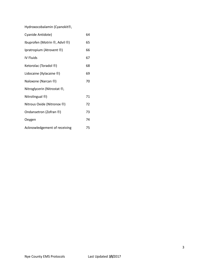Hydroxocobalamin (Cyanokit®,

| Cyanide Antidote)                  | 64 |  |  |
|------------------------------------|----|--|--|
| Ibuprofen (Motrin ®, Advil ®)      | 65 |  |  |
| Ipratropium (Atrovent ®)           | 66 |  |  |
| IV Fluids                          | 67 |  |  |
| Ketorolac (Toradol ®)              | 68 |  |  |
| Lidocaine (Xylacaine $\circledR$ ) | 69 |  |  |
| Naloxone (Narcan ®)                |    |  |  |
| Nitroglycerin (Nitrostat ®,        |    |  |  |
| Nitrolingual ®)                    | 71 |  |  |
| Nitrous Oxide (Nitronox ®)         | 72 |  |  |
| Ondansetron (Zofran ®)             | 73 |  |  |
| Oxygen                             | 74 |  |  |
| Acknowledgement of receiving       | 75 |  |  |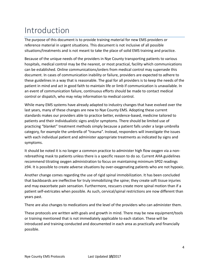### Introduction

The purpose of this document is to provide training material for new EMS providers or reference material in urgent situations. This document is not inclusive of all possible situations/treatments and is not meant to take the place of solid EMS training and practice.

Because of the unique needs of the providers in Nye County transporting patients to various hospitals, medical control may be the nearest, or most practical, facility which communications can be established. Online communications/orders from medical control may supersede this document. In cases of communication inability or failure, providers are expected to adhere to these guidelines in a way that is reasonable. The goal for all providers is to keep the needs of the patient in mind and act in good faith to maintain life or limb if communication is unavailable. In an event of communication failure, continuous efforts should be made to contact medical control or dispatch, who may relay information to medical control.

While many EMS systems have already adapted to industry changes that have evolved over the last years, many of these changes are new to Nye County EMS. Adopting these current standards makes our providers able to practice better, evidence-based, medicine tailored to patients and their individualistic signs and/or symptoms. There should be limited use of practicing "blanket" treatment methods simply because a patient falls under a large umbrella category, for example the umbrella of "trauma". Instead, responders will investigate the issues with each individual patient and administer appropriate treatments as indicated by signs and symptoms.

It should be noted it is no longer a common practice to administer high flow oxygen via a nonrebreathing mask to patients unless there is a specific reason to do so. Current AHA guidelines recommend titrating oxygen administration to focus on maintaining minimum SP02 readings ≥94. It is possible to create adverse situations by over-oxygenating patients who are not hypoxic.

Another change comes regarding the use of rigid spinal immobilization. It has been concluded that backboards are ineffective for truly immobilizing the spine; they create soft tissue injuries and may exacerbate pain sensation. Furthermore, rescuers create more spinal motion than if a patient self-extricates when possible. As such, cervical/spinal restrictions are now different than years past.

There are also changes to medications and the level of the providers who can administer them.

These protocols are written with goals and growth in mind. There may be new equipment/tools or training mentioned that is not immediately applicable to each station. These will be introduced and training conducted and documented in each area as practically and financially possible.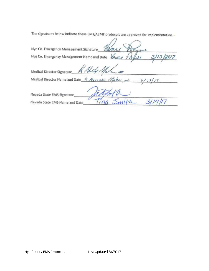The signatures below indicate these EMT/AEMT protocols are approved for implementation.

 $\sqrt{ }$ 

| Nye Co. Emergency Management Signature                      |
|-------------------------------------------------------------|
| Nye Co. Emergency Management Name and Date VANCP<br>13/2017 |
| Mely Mah<br>Medical Director Signature                      |
| Medical Director Name and Date K. Alexander Malese mo       |
| Nevada State EMS Signature                                  |
| Nevada State EMS Name and Date                              |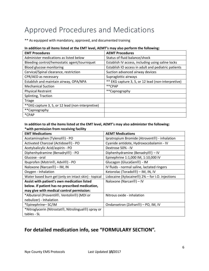### Approved Procedures and Medications

\*\* As equipped with mandatory, approved, and documented training

#### **In addition to all items listed at the EMT level, AEMT's may also perform the following:**

| <b>EMT Procedures</b>                              | <b>AEMT Procedures</b>                              |
|----------------------------------------------------|-----------------------------------------------------|
| Administer medications as listed below             | Status of fluid balance/shock                       |
| Bleeding control/hemostatic agent/tourniquet       | Establish IV access, including using saline locks   |
| Blood glucose monitoring                           | Establish IO access in adult and pediatric patients |
| Cervical/Spinal clearance, restriction             | Suction advanced airway devices                     |
| CPR/AED as necessary                               | Supraglottic airways                                |
| Establish and maintain airway, OPA/NPA             | ** EKG capture 3, 5, or 12 lead (non-interpretive)  |
| <b>Mechanical Suction</b>                          | **CPAP                                              |
| <b>Physical Restraint</b>                          | **Capnography                                       |
| Splinting, Traction                                |                                                     |
| <b>Triage</b>                                      |                                                     |
| ** EKG capture 3, 5, or 12 lead (non-interpretive) |                                                     |
| **Capnography                                      |                                                     |
| *CPAP                                              |                                                     |

#### **In addition to all the items listed at the EMT level, AEMT's may also administer the following: \*with permission from receiving facility**

| <b>EMT Medications</b>                                                        | <b>AEMT Medications</b>                                     |
|-------------------------------------------------------------------------------|-------------------------------------------------------------|
| Acetaminophen (Tylenol®) - PO                                                 | Ipratropium Bromide (Atrovent <sup>®</sup> ) - inhalation   |
| Activated Charcoal (Actidose®) - PO                                           | Cyanide antidote, Hydroxocobalamin - IV                     |
| Acetylsalicylic Acid/aspirin - PO                                             | Dextrose 50% - IV                                           |
| Diphenhydramine (Benadryl®) - PO                                              | Diphenhydramine (Benadryl®) - IV                            |
| Glucose - oral                                                                | Epinephrine 1:1,000 IM, 1:10,000 IV                         |
| Ibuprofen (Motrin <sup>®</sup> , Advil <sup>®</sup> ) - PO                    | Glucagon (GlucaGen <sup>®</sup> ) - IM                      |
| Naloxone (Narcan®) - IM, IN                                                   | IV fluids - normal saline, lactated ringers                 |
| Oxygen - Inhalation                                                           | Ketorolac (Toradol <sup>®</sup> ) – IM, IN, IV              |
| Water based burn gel (only on intact skin) - topical                          | Lidocaine (Xylocaine $\circledR$ ) 2% – for I.O. injections |
| Assist with patient's own medication listed                                   | Naloxone (Narcan <sup>®</sup> ) – IV                        |
| below. If patient has no prescribed medication,                               |                                                             |
| may give with medical control permission:                                     |                                                             |
| *Albuterol (Proventil <sup>®</sup> , Ventolin <sup>®</sup> ) (MDI or          | Nitrous oxide - inhalation                                  |
| nebulizer) - Inhalation                                                       |                                                             |
| *Epinephrine-SC/IM                                                            | Ondansetron (Zofran <sup>®</sup> ) – PO, IM, IV             |
| *Nitroglycerin (Nitrostat <sup>®</sup> , Nitrolingual <sup>®</sup> ) spray or |                                                             |
| tables - SL                                                                   |                                                             |

#### **For detailed medication info, see "FORMULARY SECTION".**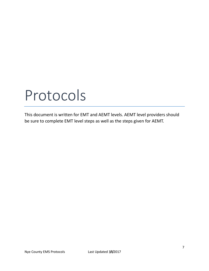## Protocols

This document is written for EMT and AEMT levels. AEMT level providers should be sure to complete EMT level steps as well as the steps given for AEMT.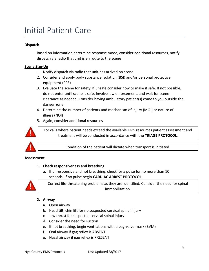### Initial Patient Care

#### **Dispatch**

Based on information determine response mode, consider additional resources, notify dispatch via radio that unit is en route to the scene

#### **Scene Size-Up**

- 1. Notify dispatch via radio that unit has arrived on scene
- 2. Consider and apply body substance isolation (BSI) and/or personal protective equipment (PPE)
- 3. Evaluate the scene for safety. If unsafe consider how to make it safe. If not possible, do not enter until scene is safe. Involve law enforcement, and wait for scene clearance as needed. Consider having ambulatory patient(s) come to you outside the danger zone.
- 4. Determine the number of patients and mechanism of injury (MOI) or nature of illness (NOI)
- 5. Again, consider additional resources



For calls where patient needs exceed the available EMS resources patient assessment and treatment will be conducted in accordance with the **TRIAGE PROTOCOL**.

Condition of the patient will dictate when transport is initiated.

#### **Assessment**

#### **1. Check responsiveness and breathing.**

a. If unresponsive and not breathing, check for a pulse for no more than 10 seconds. If no pulse begin **CARDIAC ARREST PROTOCOL**.



Correct life-threatening problems as they are identified. Consider the need for spinal immobilization.

#### **2. Airway**

- a. Open airway
- b. Head tilt, chin lift for no suspected cervical spinal injury
- c. Jaw thrust for suspected cervical spinal injury
- d. Consider the need for suction
- e. If not breathing, begin ventilations with a bag-valve-mask (BVM)
- f. Oral airway if gag reflex is ABSENT
- g. Nasal airway if gag reflex is PRESENT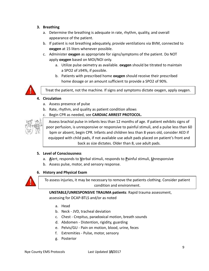- **3. Breathing**
	- a. Determine the breathing is adequate in rate, rhythm, quality, and overall appearance of the patient.
	- b. If patient is not breathing adequately, provide ventilations via BVM, connected to **oxygen** at 15 liters whenever possible.
	- c. Administer **oxygen** as appropriate for signs/symptoms of the patient. Do NOT apply **oxygen** based on MOI/NOI only.
		- a. Utilize pulse oximetry as available. **oxygen** should be titrated to maintain a SPO2 of ≥94%, if possible.
		- b. Patients with prescribed home **oxygen** should receive their prescribed home dosage or an amount sufficient to provide a SPO2 of 90%.



Treat the patient, not the machine. If signs and symptoms dictate oxygen, apply oxygen.

#### **4. Circulation**

- a. Assess presence of pulse
- b. Rate, rhythm, and quality as patient condition allows
- c. Begin CPR as needed, see **CARDIAC ARREST PROTOCOL.**



Assess brachial pulse in infants less than 12 months of age. If patient exhibits signs of poor perfusion, is unresponsive or responsive to painful stimuli, and a pulse less than 60 bpm or absent, begin CPR. Infants and children less than 8 years old, consider AED if equipped with child pads, if not available use adult pads placed on patient's front and back as size dictates. Older than 8, use adult pads.

#### **5. Level of Consciousness**

- a. **A**lert, responds to **V**erbal stimuli, responds to **P**ainful stimuli, **U**nresponsive
- b. Assess pulse, motor, and sensory response.

#### **6. History and Physical Exam**



To assess injuries, it may be necessary to remove the patients clothing. Consider patient condition and environment.

**UNSTABLE/UNRESPONSIVE TRAUMA patients**: Rapid trauma assessment, assessing for DCAP-BTLS and/or as noted

- a. Head
- b. Neck JVD, tracheal deviation
- c. Chest Crepitus, paradoxical motion, breath sounds
- d. Abdomen Distention, rigidity, guarding
- e. Pelvis/GU Pain on motion, blood, urine, feces
- f. Extremities Pulse, motor, sensory
- g. Posterior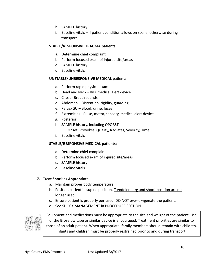- h. SAMPLE history
- i. Baseline vitals if patient condition allows on scene, otherwise during transport

#### **STABLE/RESPONSIVE TRAUMA patients**:

- a. Determine chief complaint
- b. Perform focused exam of injured site/areas
- c. SAMPLE history
- d. Baseline vitals

#### **UNSTABLE/UNRESPONSIVE MEDICAL patients**:

- a. Perform rapid physical exam
- b. Head and Neck JVD, medical alert device
- c. Chest Breath sounds
- d. Abdomen Distention, rigidity, guarding
- e. Pelvis/GU Blood, urine, feces
- f. Extremities Pulse, motor, sensory, medical alert device
- g. Posterior
- h. SAMPLE history, including OPQRST

**O**nset, **P**rovokes, **Q**uality, **R**adiates, **S**everity, **T**ime

i. Baseline vitals

#### **STABLE/RESPONSIVE MEDICAL patients:**

- a. Determine chief complaint
- b. Perform focused exam of injured site/areas
- c. SAMPLE history
- d. Baseline vitals

#### **7. Treat Shock as Appropriate**

- a. Maintain proper body temperature.
- b. Position patient in supine position. Trendelenburg and shock position are no longer used.
- c. Ensure patient is properly perfused. DO NOT over-oxygenate the patient.
- d. See SHOCK MANAGEMENT in PROCEDURE SECTION.



Equipment and medications must be appropriate to the size and weight of the patient. Use of the Broselow tape or similar device is encouraged. Treatment priorities are similar to those of an adult patient. When appropriate, family members should remain with children. Infants and children must be properly restrained prior to and during transport.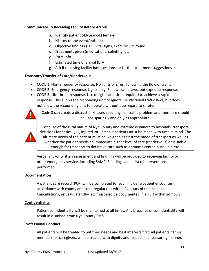#### **Communicate To Receiving Facility Before Arrival**

- a. Identify patient (43-year-old female)
- b. History of the event/episode
- c. Objective findings (LOC, vital signs, exam results found)
- d. Treatments given (medications, splinting, etc)
- e. Extra info
- f. Estimated time of arrival (ETA)
- g. Ask if receiving facility has questions, or further treatment suggestions

#### **Transport/Transfer of Care/Rendezvous**

- CODE 1: Non-emergency response. No lights or siren, following the flow of traffic.
- CODE 2: Emergency response. Lights only. Follow traffic laws, but expedite response.
- CODE 3: Life-threat response. Use of lights and siren required to achieve a rapid response. This allows the responding unit to ignore jurisdictional traffic laws, but does not allow the responding unit to operate without due regard to safety.



Code 3 can create a distraction/hazard resulting in a traffic problem and therefore should be used sparingly and only as appropriate.



Because of the rural nature of Nye County and extreme distances to hospitals, transport decisions for critically ill, injured, or unstable patients must be made with time in mind. The ultimate needs of the patient must be weighed against the mode of transport as well as whether the patient needs an immediate higher level of care (rendezvous) or is stable enough for transport to definitive care such as a trauma center, burn unit, etc.

Verbal and/or written assessment and findings will be provided to receiving facility or other emergency service, including SAMPLE findings and a list of interventions performed.

#### **Documentation**

A patient care record (PCR) will be completed for each incident/patient encounter in accordance with county and state regulations within 24 hours of the incident. Cancellations, refusals, standby, etc must also be documented in a PCR within 24 hours.

#### **Confidentiality**

Patient confidentiality will be maintained at all times. Any breaches of confidentiality will result in dismissal from Nye County EMS.

#### **Professional Conduct**

All patients will be treated to put their needs and best interests first. All patients, family members, or caregivers, will be treated with dignity and respect in a reassuring manner.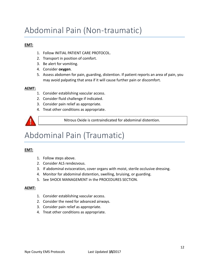### Abdominal Pain (Non-traumatic)

#### **EMT:**

- 1. Follow INITIAL PATIENT CARE PROTOCOL.
- 2. Transport in position of comfort.
- 3. Be alert for vomiting.
- 4. Consider **oxygen**.
- 5. Assess abdomen for pain, guarding, distention. If patient reports an area of pain, you may avoid palpating that area if it will cause further pain or discomfort.

#### **AEMT:**

- 1. Consider establishing vascular access.
- 2. Consider fluid challenge if indicated.
- 3. Consider pain relief as appropriate.
- 4. Treat other conditions as appropriate.



Nitrous Oxide is contraindicated for abdominal distention.

### Abdominal Pain (Traumatic)

#### **EMT:**

- 1. Follow steps above.
- 2. Consider ALS rendezvous.
- 3. If abdominal evisceration, cover organs with moist, sterile occlusive dressing.
- 4. Monitor for abdominal distention, swelling, bruising, or guarding.
- 5. See SHOCK MANAGEMENT in the PROCEDURES SECTION.

- 1. Consider establishing vascular access.
- 2. Consider the need for advanced airways.
- 3. Consider pain relief as appropriate.
- 4. Treat other conditions as appropriate.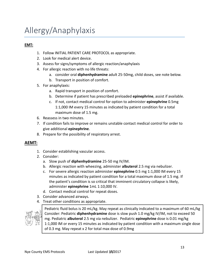### Allergy/Anaphylaxis

#### **EMT:**

- 1. Follow INITIAL PATIENT CARE PROTOCOL as appropriate.
- 2. Look for medical alert device.
- 3. Assess for signs/symptoms of allergic reaction/anaphylaxis
- 4. For allergic reaction with no life threats:
	- a. consider oral **diphenhydramine** adult 25-50mg, child doses, see note below.
	- b. Transport in position of comfort.
- 5. For anaphylaxis:
	- a. Rapid transport in position of comfort.
	- b. Determine if patient has prescribed preloaded **epinephrine**, assist if available.
	- c. If not, contact medical control for option to administer **epinephrine** 0.5mg 1:1,000 IM every 15 minutes as indicated by patient condition for a total maximum dose of 1.5 mg.
- 6. Reassess in two minutes.
- 7. If condition fails to improve or remains unstable contact medical control for order to give additional **epinephrine**.
- 8. Prepare for the possibility of respiratory arrest.

#### **AEMT:**

- 1. Consider establishing vascular access.
- 2. Consider:
	- a. Slow push of **diphenhydramine** 25-50 mg IV/IM.
	- b. Allergic reaction with wheezing, administer **albuterol** 2.5 mg via nebulizer.
	- c. For severe allergic reaction administer **epinephrine** 0.5 mg 1:1,000 IM every 15 minutes as indicated by patient condition for a total maximum dose of 1.5 mg. If the patient's condition is so critical that imminent circulatory collapse is likely, administer **epinephrine** 1mL 1:10,000 IV.
	- d. Contact medical control for repeat doses.
- 3. Consider advanced airways.
- 4. Treat other conditions as appropriate.



Pediatric fluid bolus is 20 mL/kg. May repeat as clinically indicated to a maximum of 60 mL/kg Consider: Pediatric **diphenhydramine** dose is slow push 1.0 mg/kg IV/IM, not to exceed 50 mg. Pediatric **albuterol** 2.5 mg via nebulizer. Pediatric **epinephrine** dose is 0.01 mg/kg 1:1,000 IM or every 15 minutes as indicated by patient condition with a maximum single dose of 0.3 mg. May repeat x 2 for total max dose of 0.9mg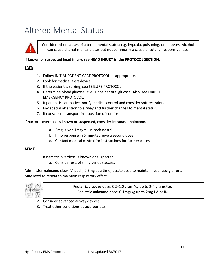### Altered Mental Status



Consider other causes of altered mental status: e.g. hypoxia, poisoning, or diabetes. Alcohol can cause altered mental status but not commonly a cause of total unresponsiveness.

#### **If known or suspected head injury, see HEAD INJURY in the PROTOCOL SECTION.**

#### **EMT:**

- 1. Follow INITIAL PATIENT CARE PROTOCOL as appropriate.
- 2. Look for medical alert device.
- 3. If the patient is seizing, see SEIZURE PROTOCOL.
- 4. Determine blood glucose level. Consider oral glucose. Also, see DIABETIC EMERGENCY PROTOCOL.
- 5. If patient is combative, notify medical control and consider soft restraints.
- 6. Pay special attention to airway and further changes to mental status.
- 7. If conscious, transport in a position of comfort.

If narcotic overdose is known or suspected, consider intranasal **naloxone**.

- a. 2mg, given 1mg/mL in each nostril.
- b. If no response in 5 minutes, give a second dose.
- c. Contact medical control for instructions for further doses.

#### **AEMT:**

- 1. If narcotic overdose is known or suspected:
	- a. Consider establishing venous access

Administer **naloxone** slow I.V. push, 0.5mg at a time, titrate dose to maintain respiratory effort. May need to repeat to maintain respiratory effect.



Pediatric **glucose** dose: 0.5-1.0 gram/kg up to 2-4 grams/kg. Pediatric **naloxone** dose: 0.1mg/kg up to 2mg I.V. or IN

- 2. Consider advanced airway devices.
- 3. Treat other conditions as appropriate.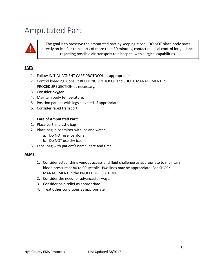### Amputated Part



The goal is to preserve the amputated part by keeping it cool. DO NOT place body parts directly on ice. For transports of more than 30 minutes, contact medical control for guidance regarding possible air transport to a hospital with surgical capabilities.

#### **EMT:**

- 1. Follow INITIAL PATIENT CARE PROTOCOL as appropriate.
- 2. Control bleeding. Consult BLEEDING PROTOCOL and SHOCK MANAGEMENT in PROCEDURE SECTION as necessary.
- 3. Consider **oxygen**.
- 4. Maintain body temperature.
- 5. Position patient with legs elevated, if appropriate
- 6. Consider rapid transport.

#### **Care of Amputated Part:**

- 1. Place part in plastic bag
- 2. Place bag in container with ice and water.
	- a. Do NOT use ice alone.
	- b. Do NOT use dry ice.
- 3. Label bag with patient's name, date and time.

- 1. Consider establishing venous access and fluid challenge as appropriate to maintain blood pressure at 80 to 90 systolic. Two lines may be appropriate. See SHOCK MANAGEMENT in the PROCEDURE SECTION.
- 2. Consider the need for advanced airways.
- 3. Consider pain relief as appropriate.
- 4. Treat other conditions as appropriate.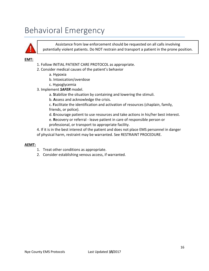### Behavioral Emergency



Assistance from law enforcement should be requested on all calls involving potentially violent patients. Do NOT restrain and transport a patient in the prone position.

#### **EMT:**

- 1. Follow INITIAL PATIENT CARE PROTOCOL as appropriate.
- 2. Consider medical causes of the patient's behavior
	- a. Hypoxia
	- b. Intoxication/overdose
	- c. Hypoglycemia
- 3. Implement *SAFER* model.
	- a. **S**tabilize the situation by containing and lowering the stimuli.
	- b. **A**ssess and acknowledge the crisis.

c. **F**acilitate the identification and activation of resources (chaplain, family, friends, or police).

- d. **E**ncourage patient to use resources and take actions in his/her best interest.
- e. **R**ecovery or referral leave patient in care of responsible person or professional, or transport to appropriate facility.

4. If it is in the best interest of the patient and does not place EMS personnel in danger of physical harm, restraint may be warranted. See RESTRAINT PROCEDURE.

- 1. Treat other conditions as appropriate.
- 2. Consider establishing venous access, if warranted.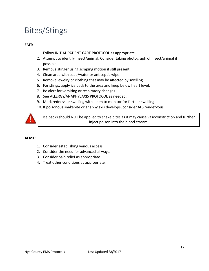### Bites/Stings

#### **EMT:**

- 1. Follow INITIAL PATIENT CARE PROTOCOL as appropriate.
- 2. Attempt to identify insect/animal. Consider taking photograph of insect/animal if possible.
- 3. Remove stinger using scraping motion if still present.
- 4. Clean area with soap/water or antiseptic wipe.
- 5. Remove jewelry or clothing that may be affected by swelling.
- 6. For stings, apply ice pack to the area and keep below heart level.
- 7. Be alert for vomiting or respiratory changes.
- 8. See ALLERGY/ANAPHYLAXIS PROTOCOL as needed.
- 9. Mark redness or swelling with a pen to monitor for further swelling.
- 10. If poisonous snakebite or anaphylaxis develops, consider ALS rendezvous.



Ice packs should NOT be applied to snake bites as it may cause vasoconstriction and further inject poison into the blood stream.

- 1. Consider establishing venous access.
- 2. Consider the need for advanced airways.
- 3. Consider pain relief as appropriate.
- 4. Treat other conditions as appropriate.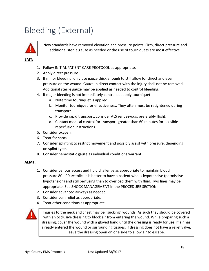### Bleeding (External)



New standards have removed elevation and pressure points. Firm, direct pressure and additional sterile gauze as needed or the use of tourniquets are most effective.

#### **EMT:**

- 1. Follow INITIAL PATIENT CARE PROTOCOL as appropriate.
- 2. Apply direct pressure.
- 3. If minor bleeding, only use gauze thick enough to still allow for direct and even pressure on the wound. Gauze in direct contact with the injury shall not be removed. Additional sterile gauze may be applied as needed to control bleeding.
- 4. If major bleeding is not immediately controlled, apply tourniquet.
	- a. Note time tourniquet is applied.
	- b. Monitor tourniquet for effectiveness. They often must be retightened during transport.
	- c. Provide rapid transport; consider ALS rendezvous, preferably flight.
	- d. Contact medical control for transport greater than 60 minutes for possible reperfusion instructions.
- 5. Consider **oxygen**.
- 6. Treat for shock.
- 7. Consider splinting to restrict movement and possibly assist with pressure, depending on splint type.
- 8. Consider hemostatic gauze as individual conditions warrant.

#### **AEMT:**

- 1. Consider venous access and fluid challenge as appropriate to maintain blood pressure 80 - 90 systolic. It is better to have a patient who is hypotensive (permissive hypotension) and still perfusing than to overload them with fluid. Two lines may be appropriate. See SHOCK MANAGEMENT in the PROCEDURE SECTION.
- 2. Consider advanced airways as needed.
- 3. Consider pain relief as appropriate.
- 4. Treat other conditions as appropriate.



Injuries to the neck and chest may be "sucking" wounds. As such they should be covered with an occlusive dressing to block air from entering the wound. While preparing such a dressing, cover the wound with a gloved hand until the dressing is ready for use. If air has already entered the wound or surrounding tissues, if dressing does not have a relief valve, leave the dressing open on one side to allow air to escape.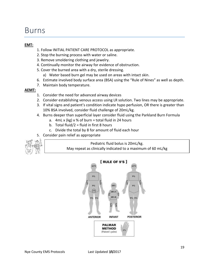### Burns

#### **EMT:**

- 1. Follow INITIAL PATIENT CARE PROTOCOL as appropriate.
- 2. Stop the burning process with water or saline.
- 3. Remove smoldering clothing and jewelry.
- 4. Continually monitor the airway for evidence of obstruction.
- 5. Cover the burned area with a dry, sterile dressing.
	- a) Water based burn gel may be used on areas with intact skin.
- 6. Estimate involved body surface area (BSA) using the "Rule of Nines" as well as depth.
- 7. Maintain body temperature.

#### **AEMT:**

- 1. Consider the need for advanced airway devices
- 2. Consider establishing venous access using LR solution. Two lines may be appropriate.
- 3. If vital signs and patient's condition indicate hypo perfusion, OR there is greater than 10% BSA involved, consider fluid challenge of 20mL/kg.
- 4. Burns deeper than superficial layer consider fluid using the Parkland Burn Formula
	- a.  $4mL \times (kg) \times \%$  of burn = total fluid in 24 hours
	- b. Total fluid/ $2 =$  fluid in first 8 hours
	- c. Divide the total by 8 for amount of fluid each hour
- 5. Consider pain relief as appropriate



Pediatric fluid bolus is 20mL/kg. May repeat as clinically indicated to a maximum of 60 mL/kg

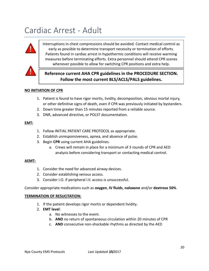### Cardiac Arrest - Adult



Interruptions in chest compressions should be avoided. Contact medical control as early as possible to determine transport necessity or termination of efforts. Patients found in cardiac arrest in hypothermic conditions will receive warming measures before terminating efforts. Extra personnel should attend CPR scenes whenever possible to allow for switching CPR positions and extra help.



#### **Reference current AHA CPR guidelines in the PROCEDURE SECTION. Follow the most current BLS/ACLS/PALS guidelines.**

#### **NO INITIATION OF CPR**

- 1. Patient is found to have rigor mortis, lividity, decomposition, obvious mortal injury, or other definitive signs of death, even if CPR was previously initiated by bystanders.
- 2. Down time greater than 15 minutes reported from a reliable source.
- 3. DNR, advanced directive, or POLST documentation.

#### **EMT:**

- 1. Follow INITIAL PATIENT CARE PROTOCOL as appropriate.
- 2. Establish unresponsiveness, apnea, and absence of pulse.
- 3. Begin **CPR** using current AHA guidelines.
	- a. Crews will remain in place for a minimum of 3 rounds of CPR and AED analysis before considering transport or contacting medical control.

#### **AEMT:**

- 1. Consider the need for advanced airway devices.
- 2. Consider establishing venous access.
- 3. Consider I.O. if peripheral I.V. access is unsuccessful.

Consider appropriate medications such as **oxygen**, **IV fluids**, **naloxone** and/or **dextrose 50%**.

#### **TERMINATION OF RESUCITATION:**

- 1. If the patient develops rigor mortis or dependent lividity.
- 2. **EMT level**:
	- a. No witnesses to the event.
	- b. **AND** no return of spontaneous circulation within 20 minutes of CPR
	- c. **AND** consecutive non-shockable rhythms as directed by the AED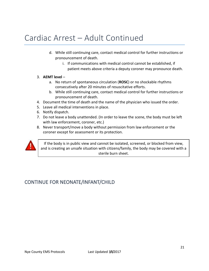### Cardiac Arrest – Adult Continued

- d. While still continuing care, contact medical control for further instructions or pronouncement of death.
	- i. If communications with medical control cannot be established, if patient meets above criteria a deputy coroner may pronounce death.
- 3. **AEMT level**
	- a. No return of spontaneous circulation (**ROSC**) or no shockable rhythms consecutively after 20 minutes of resuscitative efforts.
	- b. While still continuing care, contact medical control for further instructions or pronouncement of death.
- 4. Document the time of death and the name of the physician who issued the order.
- 5. Leave all medical interventions in place.
- 6. Notify dispatch.
- 7. Do not leave a body unattended. (In order to leave the scene, the body must be left with law enforcement, coroner, etc.)
- 8. Never transport/move a body without permission from law enforcement or the coroner except for assessment or its protection.



If the body is in public view and cannot be isolated, screened, or blocked from view, and is creating an unsafe situation with citizens/family, the body may be covered with a sterile burn sheet.

#### CONTINUE FOR NEONATE/INFANT/CHILD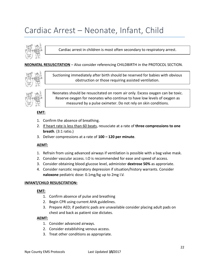### Cardiac Arrest – Neonate, Infant, Child



Cardiac arrest in children is most often secondary to respiratory arrest.

#### **NEONATAL RESUSCITATION** – Also consider referencing CHILDBIRTH in the PROTOCOL SECTION.



Suctioning immediately after birth should be reserved for babies with obvious obstruction or those requiring assisted ventilation.



Neonates should be resuscitated on room air only. Excess oxygen can be toxic. Reserve oxygen for neonates who continue to have low levels of oxygen as measured by a pulse oximeter. Do not rely on skin conditions.

#### **EMT:**

- 1. Confirm the absence of breathing.
- 2. If heart rate is less than 60 beats, resusciate at a rate of **three compressions to one breath**. (3:1 ratio.)
- 3. Deliver compressions at a rate of **100 – 120 per minute**.

#### **AEMT:**

- 1. Refrain from using advanced airways if ventilation is possible with a bag valve mask.
- 2. Consider vascular access. I.O is recommended for ease and speed of access.
- 3. Consider obtaining blood glucose level, administer **dextrose 50%** as approriate.
- 4. Consider narcotic respiratory depression if situation/history warrants. Consider **naloxone** pediatric dose: 0.1mg/kg up to 2mg I.V.

#### **INFANT/CHILD RESUSCITATION:**

#### **EMT:**

- 1. Confirm absence of pulse and breathing
- 2. Begin CPR using current AHA guidelines.
- 3. Prepare AED; if pediatric pads are unavailable consider placing adult pads on chest and back as patient size dictates.

- 1. Consider advanced airways.
- 2. Consider establishing venous access.
- 3. Treat other conditions as appropriate.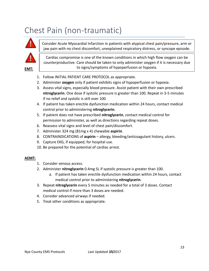### Chest Pain (non-traumatic)



**EMT:**

Consider Acute Myocardial Infarction in patients with atypical chest pain/pressure, arm or jaw pain with no chest discomfort, unexplained respiratory distress, or syncope episode.

Cardiac compromise is one of the known conditions in which high flow oxygen can be counterproductive. Care should be taken to only administer oxygen if it is necessary due to signs/symptoms of hypoperfusion or hypoxia.

- 1. Follow INITIAL PATIENT CARE PROTOCOL as appropriate.
- 2. Administer **oxygen** only if patient exhibits signs of hypoperfusion or hypoxia.
- 3. Assess vital signs, especially blood pressure. Assist patient with their own prescribed **nitroglycerin**. One dose if systolic pressure is greater than 100. Repeat in 3-5 minutes if no relief and systolic is still over 100.
- 4. If patient has taken erectile dysfunction medication within 24 hours, contact medical control prior to administering **nitroglycerin**.
- 5. If patient does not have prescribed **nitroglycerin**, contact medical control for permission to administer, as well as directions regarding repeat doses.
- 6. Reassess vital signs and level of chest pain/discomfort.
- 7. Administer 324 mg (81mg x 4) chewable **aspirin**.
- 8. CONTRAINDICATIONS of **aspirin**  allergy, bleeding/anticoagulant history, ulcers.
- 9. Capture EKG, if equipped, for hospital use.
- 10. Be prepared for the potential of cardiac arrest.

- 1. Consider venous access.
- 2. Administer **nitroglycerin** 0.4mg SL if systolic pressure is greater than 100.
	- a. If patient has taken erectile dysfunction medication within 24 hours, contact medical control prior to administering **nitroglycerin**.
- 3. Repeat **nitroglycerin** every 5 minutes as needed for a total of 3 doses. Contact medical control if more than 3 doses are needed.
- 4. Consider advanced airways if needed.
- 5. Treat other conditions as appropriate.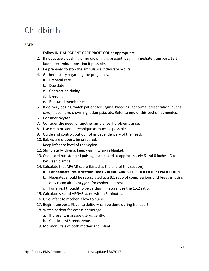### Childbirth

#### **EMT:**

- 1. Follow INITIAL PATIENT CARE PROTOCOL as appropriate.
- 2. If not actively pushing or no crowning is present, begin immediate transport. Left lateral recumbunt position if possible.
- 3. Be prepared to stop the ambulance if delivery occurs.
- 4. Gather history regarding the pregnancy.
	- a. Prenatal care
	- b. Due date
	- c. Contraction timing
	- d. Bleeding
	- e. Ruptured membranes
- 5. If delivery begins, watch patient for vaginal bleeding, abnormal presentation, nuchal cord, meconium, crowning, eclampsia, etc. Refer to end of this section as needed.
- 6. Consider **oxygen**.
- 7. Consider the need for another amulance if problems arise.
- 8. Use clean or sterile technique as much as possible.
- 9. Guide and control, but do not impede, delivery of the head.
- 10. Babies are slippery, be prepared.
- 11. Keep infant at level of the vagina.
- 12. Stimulate by drying, keep warm, wrap in blanket.
- 13. Once cord has stopped pulsing, clamp cord at approximately 6 and 8 inches. Cut between clamps.
- 14. Calculate first APGAR score (Listed at the end of this section).
	- **a. For neonatal resuscitation: see CARDIAC ARREST PROTOCOL/CPR PROCEDURE.**
	- b. Neonates should be resusciated at a 3:1 ratio of compressions and breaths, using only room air no **oxygen**, for asphyxial arrest.
	- c. For arrest thought to be cardiac in nature, use the 15:2 ratio.
- 15. Calculate second APGAR score within 5 minutes.
- 16. Give infant to mother, allow to nurse.
- 17. Begin transport. Placenta delivery can be done during transport.
- 18. Watch patient for excess hemorage.
	- a. If present, massage uterus gently.
	- b. Consider ALS rendezvous.
- 19. Monitor vitals of both mother and infant.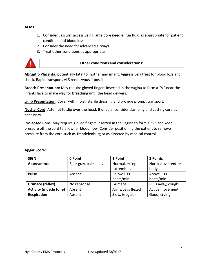#### **AEMT**

- 1. Consider vascular access using large bore needle, run fluid as appropriate for patient condition and blood loss.
- 2. Consider the need for advanced airways.
- 3. Treat other conditions as appropriate.



#### **Other conditions and considerations:**

**Abruptio Placenta:** potentially fatal to mother and infant. Aggressively treat for blood loss and shock. Rapid transport, ALS rendezvous if possible.

**Breech Presentation:** May require gloved fingers inserted in the vagina to form a "V" near the infants face to make way for breathing until the head delivers.

**Limb Presentation:** Cover with moist, sterile dressing and provide prompt transport.

**Nuchal Cord:** Attempt to slip over the head. If unable, consider clamping and cutting cord as necessary.

**Prolapsed Cord:** May require gloved fingers inserted in the vagina to form a "V" and keep pressure off the cord to allow for blood flow. Consider positioning the patient to remove pressure from the cord such as Trendelenburg or as directed by medical control.

| <b>SIGN</b>                   | 0 Point                  | 1 Point          | 2 Points           |
|-------------------------------|--------------------------|------------------|--------------------|
| Apprearance                   | Blue-gray, pale all over | Normal, except   | Normal over entire |
|                               |                          | extremities      | body               |
| <b>Pulse</b>                  | Absent                   | Below 100        | Above 100          |
|                               |                          | beats/min        | beats/min          |
| Grimace (reflex)              | No repsonse              | Grimace          | Pulls away, cough  |
| <b>Activity (muscle tone)</b> | Absent                   | Arms/Legs flexed | Active movement    |
| Respiration                   | Absent                   | Slow, irregular  | Good, crying       |

#### **Apgar Score:**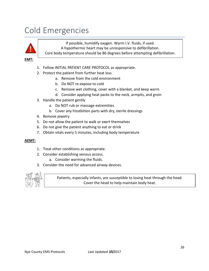### Cold Emergencies



If possible, humidify oxygen. Warm I.V. fluids, if used. A hypothermic heart may be unresponsive to defibrillation. Core body temperature should be 86 degrees before attempting defibrillation.

**EMT:**

- 1. Follow INITIAL PATIENT CARE PROTOCOL as appropriate.
- 2. Protect the patient from further heat loss
	- a. Remove from the cold environment
	- b. Do NOT re-expose to cold
	- c. Remove wet clothing, cover with a blanket, and keep warm
	- d. Consider applying heat packs to the neck, armpits, and groin
- 3. Handle the patient gently
	- a. Do NOT rub or massage extremities
	- b. Cover any frostbitten parts with dry, sterile dressings
- 4. Remove jewelry
- 5. Do not allow the patient to walk or exert themselves
- 6. Do not give the patient anything to eat or drink
- 7. Obtain vitals every 5 minutes, including body temperature

#### **AEMT:**

- 1. Treat other conditions as appropriate.
- 2. Consider establishing venous access.
	- a. Consider warming the fluids.
- 3. Consider the need for advanced airway devices.



Patients, especially infants, are susceptible to losing heat through the head. Cover the head to help maintain body heat.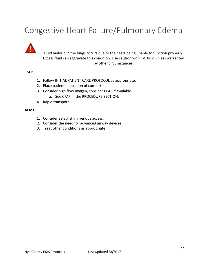### Congestive Heart Failure/Pulmonary Edema



#### **EMT:**

- 1. Follow INITIAL PATIENT CARE PROTOCOL as appropriate.
- 2. Place patient in position of comfort.
- 3. Consider high flow **oxygen**, consider CPAP if available
	- a. See CPAP in the PROCEDURE SECTION.
- 4. Rapid transport

- 1. Consider establishing venous access.
- 2. Consider the need for advanced airway devices.
- 3. Treat other conditions as appropriate.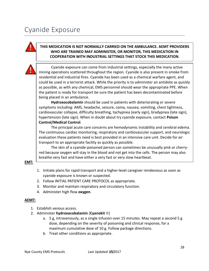### Cyanide Exposure

#### **THIS MEDICATION IS NOT NORMALLY CARRIED ON THE AMBULANCE. AEMT PROVIDERS WHO ARE TRAINED MAY ADMINISTER, OR MONITOR, THIS MEDICATION IN COOPERATION WITH INDUSTRIAL SETTINGS THAT STOCK THIS MEDICATION**.



Cyanide exposure can come from industrial settings, especially the many active mining operations scattered throughout the region. Cyanide is also present in smoke from residential and industrial fires. Cyanide has been used as a chemical warfare agent, and could be used in a terrorist attack. While the priority is to administer an antidote as quickly as possible, as with any chemical, EMS personnel should wear the appropriate PPE. When the patient is ready for transport be sure the patient has been decontaminated before being placed in an ambulance.

**Hydroxocobalamin** should be used in patients with deteriorating or severe symptoms including: AMS, headache, seizure, coma, nausea, vomiting, chest tightness, cardiovascular collapse, difficulty breathing, tachypnea (early sign), bradypnea (late sign), hypertension (late sign). When in doubt about try cyanide exposure, contact **Poison Control/Medical Control**.

The principal acute care concerns are hemodynamic instability and cerebral edema. The continuous cardiac monitoring, respiratory and cardiovascular support, and neurologic evaluation these patients need is best provided in an intensive care unit. Decide for air transport to an appropriate facility as quickly as possible.

The skin of a cyanide-poisoned person can sometimes be unusually pink or cherryred because oxygen will stay in the blood and not get into the cells. The person may also breathe very fast and have either a very fast or very slow heartbeat.

#### **EMT:**

- 1. Initiate plans for rapid transport and a higher-level caregiver rendezvous as soon as cyanide exposure is known or suspected.
- 2. Follow INITIAL PATIENT CARE PROTOCOL as appropriate.
- 3. Monitor and maintain respiratory and circulatory function.
- 4. Administer high flow **oxygen**.

- 1. Establish venous access.
- 2. Administer **hydroxocobalamin** (**Cyanokit** ®)
	- a. 5 g, intravenously, as a single infusion over 15 minutes. May repeat a second 5 g dose, depending on the severity of poisoning and clinical response, for a maximum cumulative dose of 10 g. Follow package directions.
	- b. Treat other conditions as appropriate.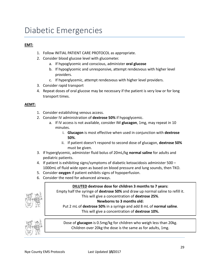### Diabetic Emergencies

#### **EMT:**

- 1. Follow INITIAL PATIENT CARE PROTOCOL as appropriate.
- 2. Consider blood glucose level with glucometer.
	- a. If hypoglycemic and conscious, administer **oral glucose**
	- b. If hypoglycemic and unresponsive, attempt rendezvous with higher level providers.
	- c. If hyperglycemic, attempt rendezvous with higher level providers.
- 3. Consider rapid transport
- 4. Repeat doses of oral glucose may be necessary if the patient is very low or for long transport times.

#### **AEMT:**

- 1. Consider establishing venous access.
- 2. Consider IV administration of **dextrose 50%** if hypoglycemic.
	- a. If IV access is not available, consider IM **glucagon**, 1mg, may repeat in 10 minutes.
		- i. **Glucagon** is most effective when used in conjunction with **dextrose 50%**.
		- ii. If patient doesn't respond to second dose of glucagon, **dextrose 50%** must be given.
- 3. If hyperglycemic, administer fluid bolus of 20mL/kg **normal saline** for adults and pediatric patients.
- 4. If patient is exhibiting signs/symptoms of diabetic ketoacidosis administer 500 1000mL of fluid wide open as based on blood pressure and lung sounds, then TKO.
- 5. Consider **oxygen** if patient exhibits signs of hypoperfusion.
- 6. Consider the need for advanced airways.

#### **DILUTED dextrose dose for children 3 months to 7 years:**

Empty half the syringe of **dextrose 50%** and draw up normal saline to refill it. This will give a concentration of **dextrose 25%**.

#### **Newborns to 3 months old:**

Put 2 mL of **dextrose 50%** in a syringe and add 8 mL of **normal saline**. This will give a concentration of **dextrose 10%.**



Dose of **glucagon** is 0.5mg/kg for children who weigh less than 20kg. Children over 20kg the dose is the same as for adults, 1mg.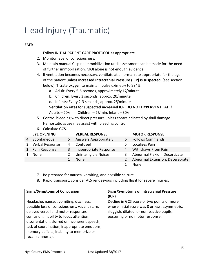### Head Injury (Traumatic)

#### **EMT:**

- 1. Follow INITIAL PATIENT CARE PROTOCOL as appropriate.
- 2. Monitor level of consciousness.
- 3. Maintain manual C-spine immobilization until assessment can be made for the need of further immobilization. MOI alone is not enough evidence.
- 4. If ventilation becomes necessary, ventilate at a normal rate appropriate for the age of the patient **unless increased Intracranial Pressure (ICP) is suspected**, (see section below). Titrate **oxygen** to maintain pulse oximetry to ≥94%
	- a. Adult: Every 5-6 seconds, approximately 12/minute
	- b. Children: Every 3 seconds, approx. 20/minute
	- c. Infants: Every 2-3 seconds, approx. 25/minute

**Ventilation rates for suspected increased ICP: DO NOT HYPERVENTILATE!** Adults – 20/min, Children – 25/min, Infant – 30/min

- 5. Control bleeding with direct pressure unless contraindicated by skull damage. Hemostatic gauze may assist with bleeding control.
- 6. Calculate GCS.

| <b>EYE OPENING</b> |    | <b>VERBAL RESPONSE</b>       |   | <b>MOTOR RESPONSE</b>           |
|--------------------|----|------------------------------|---|---------------------------------|
| Spontaneous        | 5. | <b>Answers Appropriately</b> | 6 | <b>Follows Commands</b>         |
| Verbal Response    | 4  | Confused                     |   | Localizes Pain                  |
| Pain Response      | 3  | Inappropriate Response       | 4 | <b>Withdraws From Pain</b>      |
| None               |    | Unintelligible Noises        | 3 | Abnormal Flexion: Decorticate   |
|                    |    | <b>None</b>                  |   | Abnormal Extension: Decerebrate |
|                    |    |                              |   | <b>None</b>                     |

- 7. Be prepared for nausea, vomiting, and possible seizure.
- 8. Rapid transport, consider ALS rendezvous including flight for severe injuries.

| <b>Signs/Symptoms of Concussion</b>                                                                                                                                                                                                                                                                                                            | <b>Signs/Symptoms of Intracranial Pressure</b><br>(ICP)                                                                                                                      |
|------------------------------------------------------------------------------------------------------------------------------------------------------------------------------------------------------------------------------------------------------------------------------------------------------------------------------------------------|------------------------------------------------------------------------------------------------------------------------------------------------------------------------------|
| Headache, nausea, vomiting, dizziness,<br>possible loss of consciousness, vacant stare,<br>delayed verbal and motor responses,<br>confusion, inability to focus attention,<br>disorientation, slurred or incoherent speech,<br>lack of coordination, inappropriate emotions,<br>memory deficits, inability to memorize or<br>recall (amnesia). | Decline in GCS score of two points or more<br>whose initial score was 8 or less, asymmetric,<br>sluggish, dilated, or nonreactive pupils,<br>posturing or no motor response. |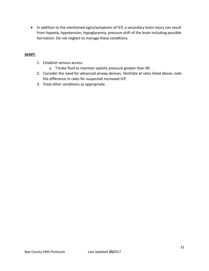• In addition to the mentioned signs/symptoms of ICP, a secondary brain injury can result from hypoxia, hypotension, hypoglycemia, pressure shift of the brain including possible herniation. Do not neglect to manage these conditions.

- 1. Establish venous access.
	- a. Titrate fluid to maintain systolic pressure greater than 90.
- 2. Consider the need for advanced airway devices. Ventilate at rates listed above; note the difference in rates for suspected increased ICP.
- 3. Treat other conditions as appropriate.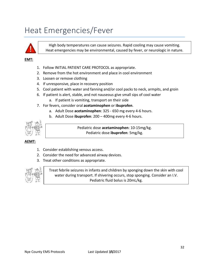### Heat Emergencies/Fever



High body temperatures can cause seizures. Rapid cooling may cause vomiting. Heat emergencies may be environmental, caused by fever, or neurologic in nature.

#### **EMT:**

- 1. Follow INITIAL PATIENT CARE PROTOCOL as appropriate.
- 2. Remove from the hot environment and place in cool environment
- 3. Loosen or remove clothing
- 4. If unresponsive, place in recovery position
- 5. Cool patient with water and fanning and/or cool packs to neck, armpits, and groin
- 6. If patient is alert, stable, and not nauseous give small sips of cool water
	- a. If patient is vomiting, transport on their side
- 7. For fevers, consider oral **acetaminophen** or **ibuprofen**.
	- a. Adult Dose **acetaminophen**: 325 650 mg every 4-6 hours.
	- b. Adult Dose **ibuprofen**: 200 400mg every 4-6 hours.



Pediatric dose **acetaminophen**: 10-15mg/kg. Pediatric dose **ibuprofen**: 5mg/kg.

#### **AEMT:**

- 1. Consider establishing venous access.
- 2. Consider the need for advanced airway devices.
- 3. Treat other conditions as appropriate.



Treat febrile seizures in infants and children by sponging down the skin with cool water during transport. If shivering occurs, stop sponging. Consider an I.V. Pediatric fluid bolus is 20mL/kg.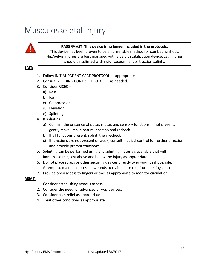### Musculoskeletal Injury

#### **PASG/MAST: This device is no longer included in the protocols.**

This device has been proven to be an unreliable method for combating shock. Hip/pelvis injuries are best managed with a pelvic stabilization device. Leg injuries should be splinted with rigid, vacuum, air, or traction splints.

**EMT:**

- 1. Follow INITIAL PATIENT CARE PROTOCOL as appropriate
- 2. Consult BLEEDING CONTROL PROTOCOL as needed.
- 3. Consider RICES
	- a) Rest
	- b) Ice
	- c) Compression
	- d) Elevation
	- e) Splinting
- 4. If splinting
	- a) Confirm the presence of pulse, motor, and sensory functions. If not present, gently move limb in natural position and recheck.
	- b) If all functions present, splint, then recheck.
	- c) If functions are not present or weak, consult medical control for further direction and provide prompt transport.
- 5. Splinting can be performed using any splinting materials available that will immobilize the joint above and below the injury as appropriate.
- 6. Do not place straps or other securing devices directly over wounds if possible. Attempt to maintain access to wounds to maintain or monitor bleeding control.
- 7. Provide open access to fingers or toes as appropriate to monitor circulation.

- 1. Consider establishing venous access.
- 2. Consider the need for advanced airway devices.
- 3. Consider pain relief as appropriate
- 4. Treat other conditions as appropriate.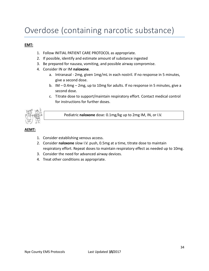### Overdose (containing narcotic substance)

#### **EMT:**

- 1. Follow INITIAL PATIENT CARE PROTOCOL as appropriate.
- 2. If possible, identify and estimate amount of substance ingested
- 3. Be prepared for nausea, vomiting, and possible airway compromise.
- 4. Consider IN or IM **naloxone**.
	- a. Intranasal 2mg, given 1mg/mL in each nostril. If no response in 5 minutes, give a second dose.
	- b. IM 0.4mg 2mg, up to 10mg for adults. If no response in 5 minutes, give a second dose.
	- c. Titrate dose to support/maintain respiratory effort. Contact medical control for instructions for further doses.



Pediatric **naloxone** dose: 0.1mg/kg up to 2mg IM, IN, or I.V.

- 1. Consider establishing venous access.
- 2. Consider **naloxone** slow I.V. push, 0.5mg at a time, titrate dose to maintain respiratory effort. Repeat doses to maintain respiratory effect as needed up to 10mg.
- 3. Consider the need for advanced airway devices.
- 4. Treat other conditions as appropriate.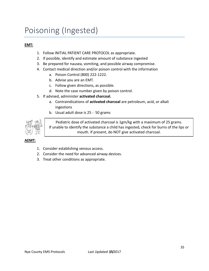### Poisoning (Ingested)

#### **EMT:**

- 1. Follow INITIAL PATIENT CARE PROTOCOL as appropriate.
- 2. If possible, identify and estimate amount of substance ingested
- 3. Be prepared for nausea, vomiting, and possible airway compromise.
- 4. Contact medical direction and/or poison control with the information
	- a. Poison Control (800) 222-1222.
	- b. Advise you are an EMT.
	- c. Follow given directions, as possible.
	- d. Note the case number given by poison control.
- 5. If advised, administer **activated charcoal.**
	- a. Contraindications of **activated charcoal** are petroleum, acid, or alkali ingestions
	- b. Usual adult dose is 25 50 grams



Pediatric dose of activated charcoal is 1gm/kg with a maximum of 25 grams. If unable to identify the substance a child has ingested, check for burns of the lips or mouth. If present, do NOT give activated charcoal.

- 1. Consider establishing venous access.
- 2. Consider the need for advanced airway devices.
- 3. Treat other conditions as appropriate.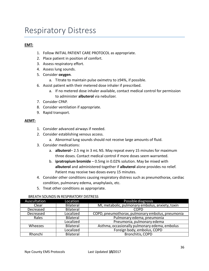### Respiratory Distress

#### **EMT:**

- 1. Follow INITIAL PATIENT CARE PROTOCOL as appropriate.
- 2. Place patient in position of comfort.
- 3. Assess respiratory effort.
- 4. Assess lung sounds.
- 5. Consider **oxygen**.
	- a. Titrate to maintain pulse oximetry to ≥94%, if possible.
- 6. Assist patient with their metered dose inhaler if prescribed.
	- a. If no metered dose inhaler available, contact medical control for permission to administer **albuterol** via nebulizer.
- 7. Consider CPAP.
- 8. Consider ventilation if appropriate.
- 9. Rapid transport.

#### **AEMT:**

- 1. Consider advanced airways if needed.
- 2. Consider establishing venous access.
	- a. Abnormal lung sounds should not receive large amounts of fluid.
- 3. Consider medications:
	- a. **albuterol** 2.5 mg in 3 mL NS. May repeat every 15 minutes for maximum three doses. Contact medical control if more doses seem warranted.
	- b. **ipratropium bromide** 0.5mg in 0.02% solution. May be mixed with **albuterol** and administered together if **albuterol** alone provides no relief. Patient may receive two doses every 15 minutes.
- 4. Consider other conditions causing respiratory distress such as pneumothorax, cardiac condition, pulmonary edema, anaphylaxis, etc.
- 5. Treat other conditions as appropriate.

| Auscultation | Location         | Possible diagnosis                               |
|--------------|------------------|--------------------------------------------------|
| Clear        | <b>Bilateral</b> | MI, metabolic, pulmonary embolus, anxiety, toxin |
| Decreased    | <b>Bilateral</b> | <b>COPD</b>                                      |
| Decreased    | Localized        | COPD, pneumothorax, pulmonary embolus, pneumonia |
| Rales        | <b>Bilateral</b> | Pulmonary edema, pneumonia                       |
|              | Localized        | Pneumonia, pulmonary edema                       |
| Wheezes      | <b>Bilateral</b> | Asthma, occasionally pulmonary edema, embolus    |
|              | Localized        | Foreign body, embolus, COPD                      |
| Rhonchi      | <b>Bilateral</b> | Bronchitis, COPD                                 |

#### BREATH SOUNDS IN RESPIRATORY DISTRESS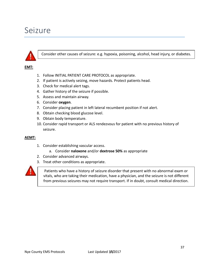# Seizure



Consider other causes of seizure: e.g. hypoxia, poisoning, alcohol, head injury, or diabetes.

#### **EMT:**

- 1. Follow INITIAL PATIENT CARE PROTOCOL as appropriate.
- 2. If patient is actively seizing, move hazards. Protect patients head.
- 3. Check for medical alert tags.
- 4. Gather history of the seizure if possible.
- 5. Assess and maintain airway.
- 6. Consider **oxygen**.
- 7. Consider placing patient in left lateral recumbent position if not alert.
- 8. Obtain checking blood glucose level.
- 9. Obtain body temperature.
- 10. Consider rapid transport or ALS rendezvous for patient with no previous history of seizure.

#### **AEMT:**

- 1. Consider establishing vascular access.
	- a. Consider **naloxone** and/or **dextrose 50%** as appropriate
- 2. Consider advanced airways.
- 3. Treat other conditions as appropriate.



Patients who have a history of seizure disorder that present with no abnormal exam or vitals, who are taking their medication, have a physician, and the seizure is not different from previous seizures may not require transport. If in doubt, consult medical direction.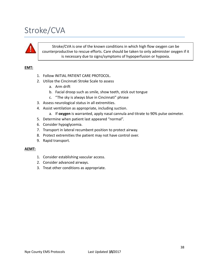# Stroke/CVA



Stroke/CVA is one of the known conditions in which high flow oxygen can be counterproductive to rescue efforts. Care should be taken to only administer oxygen if it is necessary due to signs/symptoms of hypoperfusion or hypoxia.

### **EMT:**

- 1. Follow INITIAL PATIENT CARE PROTOCOL.
- 2. Utilize the Cincinnati Stroke Scale to assess
	- a. Arm drift
	- b. Facial droop such as smile, show teeth, stick out tongue
	- c. "The sky is always blue in Cincinnati" phrase
- 3. Assess neurological status in all extremities.
- 4. Assist ventilation as appropriate, including suction.
	- a. If **oxygen** is warranted, apply nasal cannula and titrate to 90% pulse oximeter.
- 5. Determine when patient last appeared "normal".
- 6. Consider hypoglycemia.
- 7. Transport in lateral recumbent position to protect airway.
- 8. Protect extremities the patient may not have control over.
- 9. Rapid transport.

#### **AEMT:**

- 1. Consider establishing vascular access.
- 2. Consider advanced airways.
- 3. Treat other conditions as appropriate.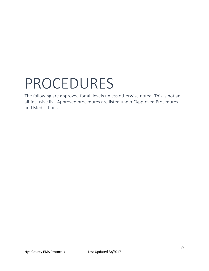# PROCEDURES

The following are approved for all levels unless otherwise noted. This is not an all-inclusive list. Approved procedures are listed under "Approved Procedures and Medications".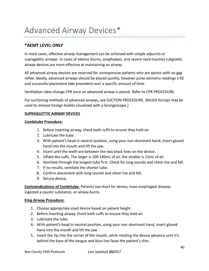# Advanced Airway Devices\*

# **\*AEMT LEVEL ONLY**

In most cases, effective airway management can be achieved with simple adjuncts or supraglottic airways. In cases of edema (burns, anaphylaxis, and severe neck trauma) subglottic airway devices are more effective at maintaining an airway.

All advanced airway devices are reserved for unresponsive patients who are apneic with no gag reflex. Ideally, advanced airways should be placed quickly, however pulse oximetry readings ≥ 92 and successful placement take precedent over a specific amount of time.

Ventilation rates change CPR once an advanced airway is placed. Refer to CPR PROCEDURE.

For suctioning methods of advanced airways, see SUCTION PROCEDURE. (McGill forceps may be used to remove foreign bodies visualized with a laryngoscope.)

### **SUPRAGLOTTIC AIRWAY DEVICES**

#### **Combitube Procedure:**

- 1. Before inserting airway, check both cuffs to ensure they hold air.
- 2. Lubricate the tube.
- 3. With patient's head in neutral position, using your non-dominant hand, insert gloved hand into the mouth and lift the jaw.
- 4. Insert until the teeth are between the two black lines on the device.
- 5. Inflate the cuffs. The larger is 100-140mL of air, the smaller is 15mL of air.
- 6. Ventilate through the longest tube first. Check for lung sounds and chest rise and fall.
- 7. If no results, ventilate the shorter tube.
- 8. Confirm placement with lung sounds and chest rise and fall.
- 9. Secure device.

**Contraindications of Combitube:** Patients too short for device, have esophageal disease, ingested a caustic substance, or airway burns.

#### **King Airway Procedure:**

- 1. Choose appropriate sized device based on patient height.
- 2. Before inserting airway, check both cuffs to ensure they hold air.
- 3. Lubricate the tube.
- 4. With patient's head in neutral position, using your non-dominant hand, insert gloved hand into the mouth and lift the jaw.
- 5. Insert the tip into the corner of the mouth, while rotating the device advance until it's behind the base of the tongue and blue line faces the patient's chin.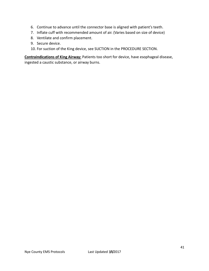- 6. Continue to advance until the connector base is aligned with patient's teeth.
- 7. Inflate cuff with recommended amount of air. (Varies based on size of device)
- 8. Ventilate and confirm placement.
- 9. Secure device.
- 10. For suction of the King device, see SUCTION in the PROCEDURE SECTION.

**Contraindications of King Airway:** Patients too short for device, have esophageal disease, ingested a caustic substance, or airway burns.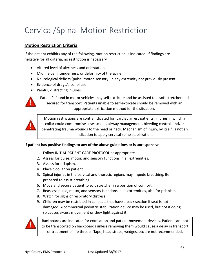# Cervical/Spinal Motion Restriction

# **Motion Restriction Criteria**

If the patient exhibits any of the following, motion restriction is indicated. If findings are negative for all criteria, no restriction is necessary.

- Altered level of alertness and orientation
- Midline pain, tenderness, or deformity of the spine.
- Neurological deficits (pulse, motor, sensory) in any extremity not previously present.
- Evidence of drugs/alcohol use.
- Painful, distracting injuries.



Patient's found in motor vehicles may self-extricate and be assisted to a soft stretcher and secured for transport. Patients unable to self-extricate should be removed with an appropriate extrication method for the situation.



Motion restrictions are contraindicated for: cardiac arrest patients, injuries in which a collar could compromise assessment, airway management, bleeding control, and/or penetrating trauma wounds to the head or neck. Mechanism of injury, by itself, is not an indication to apply cervical spine stabilization.

### **If patient has positive findings to any of the above guidelines or is unresponsive:**

- 1. Follow INITIAL PATIENT CARE PROTOCOL as appropriate.
- 2. Assess for pulse, motor, and sensory functions in all extremities.
- 3. Assess for priapism.
- 4. Place c-collar on patient.
- 5. Spinal injuries in the cervical and thoracic regions may impede breathing. Be prepared to assist breathing.
- 6. Move and secure patient to soft stretcher in a position of comfort.
- 7. Reassess pulse, motor, and sensory functions in all extremities, also for priapism.
- 8. Watch for signs of respiratory distress.
- 9. Children may be restricted in car seats that have a back section if seat is not damaged. A commercial pediatric stabilization device may be used, but not if doing so causes excess movement or they fight against it.



Backboards are indicated for extrication and patient movement devices. Patients are not to be transported on backboards unless removing them would cause a delay in transport or treatment of life threats. Tape, head straps, wedges, etc are not recommended.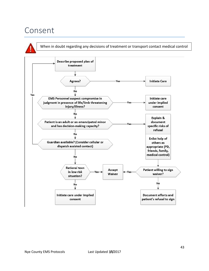# Consent

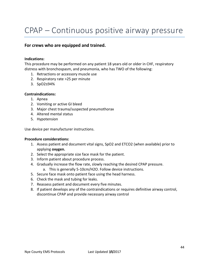# CPAP – Continuous positive airway pressure

### **For crews who are equipped and trained.**

#### **Indications:**

This procedure may be performed on any patient 18 years old or older in CHF, respiratory distress with bronchospasm, and pneumonia, who has TWO of the following:

- 1. Retractions or accessory muscle use
- 2. Respiratory rate >25 per minute
- 3. SpO2≤94%

#### **Contraindications:**

- 1. Apnea
- 2. Vomiting or active GI bleed
- 3. Major chest trauma/suspected pneumothorax
- 4. Altered mental status
- 5. Hypotension

Use device per manufacturer instructions.

#### **Procedure considerations:**

- 1. Assess patient and document vital signs, SpO2 and ETCO2 (when available) prior to applying **oxygen.**
- 2. Select the appropriate size face mask for the patient.
- 3. Inform patient about procedure process.
- 4. Gradually increase the flow rate, slowly reaching the desired CPAP pressure.
	- a. This is generally 5-10cm/H2O. Follow device instructions.
- 5. Secure face mask onto patient face using the head harness.
- 6. Check the mask and tubing for leaks.
- 7. Reassess patient and document every five minutes.
- 8. If patient develops any of the contraindications or requires definitive airway control, discontinue CPAP and provide necessary airway control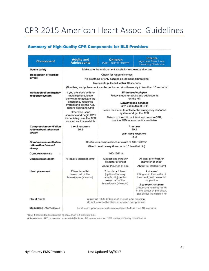# CPR 2015 American Heart Assoc. Guidelines

# **Summary of High-Quality CPR Components for BLS Providers**

| <b>Component</b>                                                   | <b>Adults and</b><br><b>Adolescents</b>                                                                                                                                                                                                                     | <b>Children</b><br>(Age 1 Year to Puberty)                                                                  | <b>Infants</b><br>(Age Less Than 1 Year,<br><b>Excluding Newborns)</b>                                                                                                                                                                                                                                                  |  |  |  |  |
|--------------------------------------------------------------------|-------------------------------------------------------------------------------------------------------------------------------------------------------------------------------------------------------------------------------------------------------------|-------------------------------------------------------------------------------------------------------------|-------------------------------------------------------------------------------------------------------------------------------------------------------------------------------------------------------------------------------------------------------------------------------------------------------------------------|--|--|--|--|
| <b>Scene safety</b>                                                | Make sure the environment is safe for rescuers and victim                                                                                                                                                                                                   |                                                                                                             |                                                                                                                                                                                                                                                                                                                         |  |  |  |  |
| <b>Recognition of cardiac</b><br>arrest                            | Check for responsiveness<br>No breathing or only gasping (ie, no normal breathing)<br>No definite pulse felt within 10 seconds<br>(Breathing and pulse check can be performed simultaneously in less than 10 seconds)                                       |                                                                                                             |                                                                                                                                                                                                                                                                                                                         |  |  |  |  |
| <b>Activation of emergency</b><br>response system                  | If you are alone with no<br>mobile phone, leave<br>the victim to activate the<br>emergency response<br>system and get the AED<br>before beginning CPR<br>Otherwise, send<br>someone and begin CPR<br>immediately; use the AED<br>as soon as it is available |                                                                                                             | <b>Witnessed collapse</b><br>Follow steps for adults and adolescents<br>on the left<br><b>Unwitnessed collapse</b><br>Give 2 minutes of CPR<br>Leave the victim to activate the emergency response<br>system and get the AED<br>Return to the child or infant and resume CPR:<br>use the AED as soon as it is available |  |  |  |  |
| <b>Compression-ventilation</b><br>ratio without advanced<br>airway | 1 or 2 rescuers<br>30:2                                                                                                                                                                                                                                     | 1 rescuer<br>30.2<br>2 or more rescuers<br>15:2                                                             |                                                                                                                                                                                                                                                                                                                         |  |  |  |  |
| <b>Compression-ventilation</b><br>ratio with advanced<br>airway    | Continuous compressions at a rate of 100-120/min<br>Give 1 breath every 6 seconds (10 breaths/min)                                                                                                                                                          |                                                                                                             |                                                                                                                                                                                                                                                                                                                         |  |  |  |  |
| <b>Compression rate</b><br>$\bullet$                               | 100-120/min                                                                                                                                                                                                                                                 |                                                                                                             |                                                                                                                                                                                                                                                                                                                         |  |  |  |  |
| <b>Compression depth</b>                                           | At least 2 inches (5 cm)*                                                                                                                                                                                                                                   | At least one third AP<br>diameter of chest                                                                  | At least one third AP<br>diameter of chest                                                                                                                                                                                                                                                                              |  |  |  |  |
|                                                                    |                                                                                                                                                                                                                                                             | About 2 inches (5 cm)                                                                                       | About 1% inches (4 cm)                                                                                                                                                                                                                                                                                                  |  |  |  |  |
| Hand placement                                                     | 2 hands on the<br>lower half of the<br>breastbone (sternum)                                                                                                                                                                                                 | 2 hands or 1 hand<br>(optional for very<br>small child) on the<br>lower half of the<br>breastbone (sternum) | 1 rescuer<br>2 fingers in the center of<br>the chest, just below the<br>nipple line<br>2 or more rescuers<br>2 thumb-encircling hands<br>in the center of the chest,<br>just below the nipple line                                                                                                                      |  |  |  |  |
| Chest recoll                                                       | Allow full recoil of chest after each compression;<br>do not lean on the chest after each compression                                                                                                                                                       |                                                                                                             |                                                                                                                                                                                                                                                                                                                         |  |  |  |  |
| Minimizing interruptions                                           | Limit interruptions in chest compressions to less than 10 seconds                                                                                                                                                                                           |                                                                                                             |                                                                                                                                                                                                                                                                                                                         |  |  |  |  |

'Compression depth should be no more than 2.4 inches (6 cm).

Abbreviations: AED, automated external defibrillator; AP, anteroposterior; CPR, cardiopulmonary resuscitation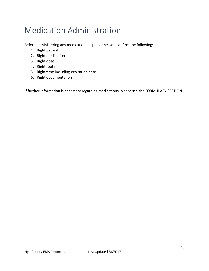# Medication Administration

Before administering any medication, all personnel will confirm the following:

- 1. Right patient
- 2. Right medication
- 3. Right dose
- 4. Right route
- 5. Right time including expiration date
- 6. Right documentation

If further information is necessary regarding medications, please see the FORMULARY SECTION.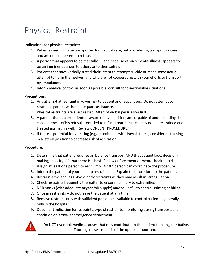# Physical Restraint

### **Indications for physical restraint:**

- 1. Patients needing to be transported for medical care, but are refusing transport or care, and are not competent to refuse.
- 2. A person that appears to be mentally ill, and because of such mental illness, appears to be an imminent danger to others or to themselves.
- 3. Patients that have verbally stated their intent to attempt suicide or made some actual attempt to harm themselves, and who are not cooperating with your efforts to transport by ambulance.
- 4. Inform medical control as soon as possible, consult for questionable situations.

#### **Precautions:**

- 1. Any attempt at restraint involves risk to patient and responders. Do not attempt to restrain a patient without adequate assistance.
- 2. Physical restraints are a last resort. Attempt verbal persuasion first.
- 3. A patient that is alert, oriented, aware of his condition, and capable of understanding the consequences of his refusal is entitled to refuse treatment. He may not be restrained and treated against his will. (Review CONSENT PROCEDURE.)
- 4. If there is potential for vomiting (e.g., intoxicants, withdrawal states), consider restraining in a lateral position to decrease risk of aspiration.

#### **Procedure:**

- 1. Determine that patient requires ambulance transport AND that patient lacks decisionmaking capacity, OR that there is a basis for law enforcement or mental health hold.
- 2. Assign at least one person to each limb. A fifth person can coordinate the procedure.
- 3. Inform the patient of your need to restrain him. Explain the procedure to the patient.
- 4. Restrain arms and legs. Avoid body restraints as they may result in strangulation.
- 5. Check restraints frequently thereafter to ensure no injury to extremities.
- 6. NRB masks (with adequate **oxygen**/air supply) may be useful to control spitting or biting.
- 7. Once in restraints -- do not leave the patient at any time.
- 8. Remove restrains only with sufficient personnel available to control patient -- generally, only in the hospital.
- 9. Document indication for restraints, type of restraints, monitoring during transport, and condition on arrival at emergency department



Do NOT overlook medical causes that may contribute to the patient to being combative. Thorough assessment is of the upmost importance.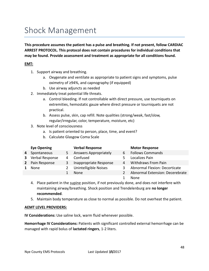# Shock Management

**This procedure assumes the patient has a pulse and breathing. If not present, follow CARDIAC ARREST PROTOCOL. This protocol does not contain procedures for individual conditions that may be found. Provide assessment and treatment as appropriate for all conditions found.** 

# **EMT:**

- 1. Support airway and breathing.
	- a. Oxygenate and ventilate as appropriate to patient signs and symptoms, pulse oximetry of ≥94%, and capnography (if equipped)
	- b. Use airway adjuncts as needed
- 2. Immediately treat potential life threats.
	- a. Control bleeding. If not controllable with direct pressure, use tourniquets on extremities, hemostatic gauze where direct pressure or tourniquets are not practical.
	- b. Assess pulse, skin, cap refill. Note qualities (strong/weak, fast/slow, regular/irregular, color, temperature, moisture, etc)
- 3. Note level of consciousness
	- a. Is patient oriented to person, place, time, and event?
	- b. Calculate Glasgow Coma Scale

|             | <b>Eye Opening</b> |   | <b>Verbal Response</b>       |   | <b>Motor Response</b>           |
|-------------|--------------------|---|------------------------------|---|---------------------------------|
| 4           | Spontaneous        | 5 | <b>Answers Appropriately</b> | 6 | <b>Follows Commands</b>         |
| 3           | Verbal Response    | 4 | Confused                     |   | Localizes Pain                  |
| $2^{\circ}$ | Pain Response      | 3 | Inappropriate Response       | 4 | <b>Withdraws From Pain</b>      |
|             | None               | 2 | Unintelligible Noises        | 3 | Abnormal Flexion: Decorticate   |
|             |                    |   | None                         |   | Abnormal Extension: Decerebrate |
|             |                    |   |                              |   | None                            |

- 4. Place patient in the supine position, if not previously done, and does not interfere with maintaining airway/breathing. Shock position and Trendelenburg are **no longer recommended**.
- 5. Maintain body temperature as close to normal as possible. Do not overheat the patient.

#### **AEMT LEVEL PROVIDERS:**

**IV Considerations:** Use saline lock, warm fluid whenever possible.

**Hemorrhage IV Considerations:** Patients with significant controlled external hemorrhage can be managed with rapid bolus of **lactated ringers**, 1-2 liters.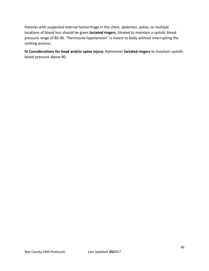Patients with suspected internal hemorrhage in the chest, abdomen, pelvis, or multiple locations of blood loss should be given **lactated ringers**, titrated to maintain a systolic blood pressure range of 80-90. "Permissive hypotension" is meant to body without interrupting the clotting process.

**IV Considerations for head and/or spine injury:** Administer **lactated ringers** to maintain systolic blood pressure above 90.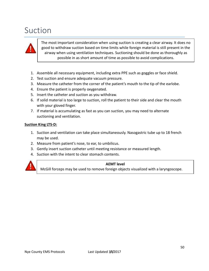# Suction



The most important consideration when using suction is creating a clear airway. It does no good to withdraw suction based on time limits while foreign material is still present in the airway when using ventilation techniques. Suctioning should be done as thoroughly as possible in as short amount of time as possible to avoid complications.

- 1. Assemble all necessary equipment, including extra PPE such as goggles or face shield.
- 2. Test suction and ensure adequate vacuum pressure.
- 3. Measure the catheter from the corner of the patient's mouth to the tip of the earlobe.
- 4. Ensure the patient is properly oxygenated.
- 5. Insert the catheter and suction as you withdraw.
- 6. If solid material is too large to suction, roll the patient to their side and clear the mouth with your gloved finger.
- 7. If material is accumulating as fast as you can suction, you may need to alternate suctioning and ventilation.

#### **Suction King LTS-D:**

- 1. Suction and ventilation can take place simultaneously. Nasogastric tube up to 18 french may be used.
- 2. Measure from patient's nose, to ear, to umbilicus.
- 3. Gently insert suction catheter until meeting resistance or measured length.
- 4. Suction with the intent to clear stomach contents.



#### **AEMT level**

McGill forceps may be used to remove foreign objects visualized with a laryngoscope.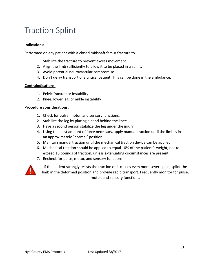# Traction Splint

### **Indications:**

Performed on any patient with a closed midshaft femur fracture to

- 1. Stabilize the fracture to prevent excess movement.
- 2. Align the limb sufficiently to allow it to be placed in a splint.
- 3. Avoid potential neurovascular compromise.
- 4. Don't delay transport of a critical patient. This can be done in the ambulance.

#### **Contraindications:**

- 1. Pelvic fracture or instability
- 2. Knee, lower leg, or ankle instability

#### **Procedure considerations:**

- 1. Check for pulse, motor, and sensory functions.
- 2. Stabilize the leg by placing a hand behind the knee.
- 3. Have a second person stabilize the leg under the injury.
- 4. Using the least amount of force necessary, apply manual traction until the limb is in an approximately "normal" position.
- 5. Maintain manual traction until the mechanical traction device can be applied.
- 6. Mechanical traction should be applied to equal 10% of the patient's weight, not to exceed 15 pounds of traction, unless extenuating circumstances are present.
- 7. Recheck for pulse, motor, and sensory functions.



If the patient strongly resists the traction or it causes even more severe pain, splint the limb in the deformed position and provide rapid transport. Frequently monitor for pulse, motor, and sensory functions.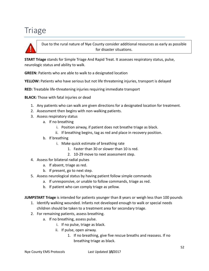# **Triage**



Due to the rural nature of Nye County consider additional resources as early as possible for disaster situations.

**START Triage** stands for Simple Triage And Rapid Treat. It assesses respiratory status, pulse, neurologic status and ability to walk.

**GREEN:** Patients who are able to walk to a designated location

**YELLOW:** Patients who have serious but not life threatening injuries, transport is delayed

**RED:** Treatable life-threatening injuries requiring immediate transport

**BLACK:** Those with fatal injuries or dead

- 1. Any patients who can walk are given directions for a designated location for treatment.
- 2. Assessment then begins with non-walking patients.
- 3. Assess respiratory status
	- a. If no breathing
		- i. Position airway, if patient does not breathe triage as black.
		- ii. If breathing begins, tag as red and place in recovery position.
	- b. If breathing
		- i. Make quick estimate of breathing rate
			- 1. Faster than 30 or slower than 10 is red.
			- 2. 10-29 move to next assessment step.
- 4. Assess for bilateral radial pulses
	- a. If absent, triage as red.
	- b. If present, go to next step.
- 5. Assess neurological status by having patient follow simple commands
	- a. If unresponsive, or unable to follow commands, triage as red.
	- b. If patient who can comply triage as yellow.

**JUMPSTART Triage** is intended for patients younger than 8 years or weigh less than 100 pounds

- 1. Identify walking wounded. Infants not developed enough to walk or special needs children should be taken to a treatment area for secondary triage.
- 2. For remaining patients, assess breathing.
	- a. If no breathing, assess pulse.
		- i. If no pulse, triage as black.
		- ii. If pulse, open airway.
			- 1. If no breathing, give five rescue breaths and reassess. If no breathing triage as black.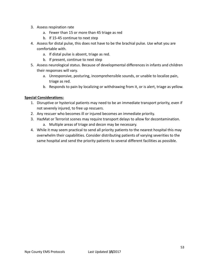- 3. Assess respiration rate
	- a. Fewer than 15 or more than 45 triage as red
	- b. If 15-45 continue to next step
- 4. Assess for distal pulse, this does not have to be the brachial pulse. Use what you are comfortable with.
	- a. If distal pulse is absent, triage as red.
	- b. If present, continue to next step
- 5. Assess neurological status. Because of developmental differences in infants and children their responses will vary.
	- a. Unresponsive, posturing, incomprehensible sounds, or unable to localize pain, triage as red.
	- b. Responds to pain by localizing or withdrawing from it, or is alert, triage as yellow.

#### **Special Considerations:**

- 1. Disruptive or hysterical patients may need to be an immediate transport priority, even if not severely injured, to free up rescuers.
- 2. Any rescuer who becomes ill or injured becomes an immediate priority.
- 3. HazMat or Terrorist scenes may require transport delays to allow for decontamination. a. Multiple areas of triage and decon may be necessary.
- 4. While it may seem practical to send all priority patients to the nearest hospital this may overwhelm their capabilities. Consider distributing patients of varying severities to the same hospital and send the priority patients to several different facilities as possible.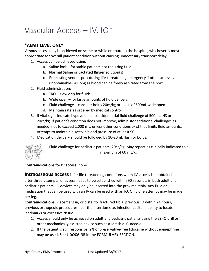# Vascular Access – IV, IO\*

# **\*AEMT LEVEL ONLY**

Venous access may be achieved on scene or while en route to the hospital, whichever is most appropriate for overall patient condition without causing unnecessary transport delay.

- 1. Access can be achieved using:
	- a. Saline lock for stable patients not requiring fluid
	- b. **Normal Saline** or **Lactated Ringer** solution(s)
	- c. Preexisting venous port during life-threatening emergency if other access is unobtainable– as long as blood can be freely aspirated from the port.
- 2. Fluid administration:
	- a. TKO slow drip for fluids.
	- b. Wide open for large amounts of fluid delivery.
	- c. Fluid challenge consider bolus 20cc/kg or bolus of 500mL wide open.
	- d. Maintain rate as ordered by medical control.
- 3. If vital signs indicate hypovolemia, consider initial fluid challenge of 500 mL NS or 20cc/kg. If patient's condition does not improve, administer additional challenges as needed, not to exceed 2,000 mL, unless other conditions exist that limits fluid amounts. Attempt to maintain a systolic blood pressure of at least 90.
- 4. Medication delivery should be followed by 10-20mL flush or bolus.



Fluid challenge for pediatric patients: 20cc/kg. May repeat as clinically indicated to a maximum of 60 mL/kg

### **Contraindications for IV access:** none

**Intraosseous access** is for life threatening conditions when I.V. access is unobtainable after three attempts, or access needs to be established within 90 seconds, in both adult and pediatric patients. IO devices may only be inserted into the proximal tibia. Any fluid or medication that can be used with an IV can be used with an IO. Only one attempt may be made per leg.

**Contraindications:** Placement in, or distal to, fractured tibia, previous IO within 24 hours, previous orthopedic procedures near the insertion site, infection at site, inability to locate landmarks or excessive tissue.

- 1. Access should only be achieved on adult and pediatric patients using the EZ-IO drill or other mechanically assisted device such as a Jamshidi ® needle.
- 2. If the patient is still responsive, 2% of preservative-free lidocaine without epinephrine may be used. See **LIDOCAINE** in the FORMULARY SECTION.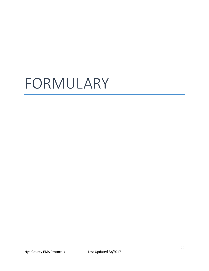# FORMULARY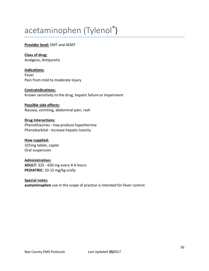# acetaminophen (Tylenol®)

### **Provider level:** EMT and AEMT

**Class of drug:** Analgesic,Antipyretic

**Indications:** Fever Pain from mild to moderate injury

**Contraindications:** Known sensitivity to the drug, hepatic failure or impairment

#### **Possible side effects:** Nausea, vomiting, abdominal pain, rash

#### **Drug interactions:** Phenothiazines- may produce hypothermia Phenobarbital - increase hepatic toxicity

**How supplied:** 325mg tablet, caplet Oral suspension

#### **Administration:**

**ADULT:** 325 - 650 mg every 4-6 hours **PEDIATRIC:** 10-15 mg/kg orally

# **Special notes:**

**acetaminophen** use in the scope of practice is intended for fever control.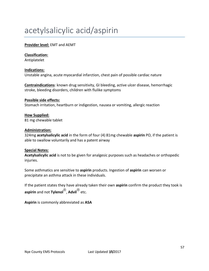# acetylsalicylic acid/aspirin

# **Provider level:** EMT and AEMT

# **Classification:**

Antiplatelet

### **Indications:**

Unstable angina, acute myocardial infarction, chest pain of possible cardiac nature

**Contraindications**: known drug sensitivity, GI bleeding, active ulcer disease, hemorrhagic stroke, bleeding disorders, children with flulike symptoms

# **Possible side effects:** Stomach irritation, heartburn or indigestion, nausea or vomiting, allergic reaction

# **How Supplied:**

81 mg chewable tablet

### **Administration:**

324mg **acetylsalicylic acid** in the form of four (4) 81mg chewable **aspirin** PO, if the patient is able to swallow voluntarily and has a patent airway

### **Special Notes:**

**Acetylsalicylic acid** is not to be given for analgesic purposes such as headaches or orthopedic injuries.

Some asthmatics are sensitive to **aspirin** products. Ingestion of **aspirin** can worsen or precipitate an asthma attack in these individuals.

If the patient states they have already taken their own **aspirin** confirm the product they took is **aspirin** and not **Tylenol**® , **Advil**® etc.

**Aspirin** is commonly abbreviated as **ASA**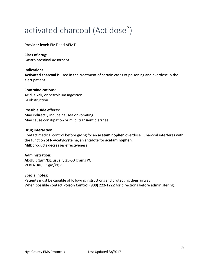# activated charcoal (Actidose®)

### **Provider level:** EMT and AEMT

### **Class of drug:**

Gastrointestinal Adsorbent

### **Indications:**

**Activated charcoal** is used in the treatment of certain cases of poisoning and overdose in the alert patient.

### **Contraindications:**

Acid, alkali, or petroleum ingestion GI obstruction

#### **Possible side effects:**

May indirectly induce nausea or vomiting May cause constipation or mild, transient diarrhea

#### **Drug interaction:**

Contact medical control before giving for an **acetaminophen** overdose. Charcoal interferes with the function of N-Acetylcysteine, an antidote for **acetaminophen**. Milk products decreases effectiveness

### **Administration:**

**ADULT:** 1gm/kg, usually 25-50 grams PO. **PEDIATRIC:** 1gm/kg PO

#### **Special notes:**

Patients must be capable of following instructions and protecting their airway. When possible contact **Poison Control (800) 222-1222** for directions before administering.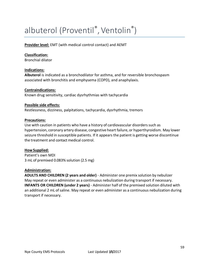# albuterol (Proventil®, Ventolin®)

**Provider level:** EMT (with medical control contact) and AEMT

### **Classification:**

Bronchial dilator

### **Indications:**

**Albuterol** is indicated as a bronchodilator for asthma, and for reversible bronchospasm associated with bronchitis and emphysema (COPD), and anaphylaxis.

### **Contraindications:**

Known drug sensitivity, cardiac dysrhythmias with tachycardia

#### **Possible side effects:**

Restlessness, dizziness, palpitations, tachycardia, dysrhythmia, tremors

### **Precautions:**

Use with caution in patients who have a history of cardiovascular disorders such as hypertension, coronary artery disease, congestive heart failure, or hyperthyroidism. May lower seizure threshold in susceptible patients. If it appears the patient is getting worse discontinue the treatment and contact medical control.

### **How Supplied:**

Patient's own MDI 3 mL of premixed 0.083% solution (2.5 mg)

#### **Administration:**

**ADULTS AND CHILDREN (2 years and older)** - Administer one premix solution by nebulizer May repeat or even administer as a continuous nebulization during transport if necessary. **INFANTS OR CHILDREN (under 2 years)** - Administer half of the premixed solution diluted with an additional 2 mL of saline. May repeat or even administer as a continuous nebulization during transport if necessary.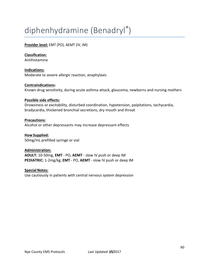# diphenhydramine (Benadryl® )

# **Provider level:** EMT (PO), AEMT (IV, IM)

### **Classification:**

Antihistamine

**Indications:** Moderate to severe allergic reaction, anaphylaxis

#### **Contraindications:**

Known drug sensitivity, during acute asthma attack, glaucoma, newborns and nursing mothers

#### **Possible side effects:**

Drowsiness or excitability, disturbed coordination, hypotension, palpitations, tachycardia, bradycardia, thickened bronchial secretions, dry mouth and throat

#### **Precautions:**

Alcohol or other depressants may increase depressant effects

**How Supplied:** 50mg/mL prefilled syringe or vial

#### **Administration:**

**ADULT:** 10-50mg, **EMT** - PO, **AEMT** - slow IV push or deep IM **PEDIATRIC:** 1-2mg/kg, **EMT** - PO, **AEMT** - slow IV push or deep IM

#### **Special Notes:**

Use cautiously in patients with central nervous system depression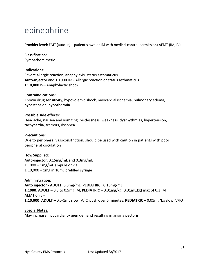# epinephrine

**Provider level:** EMT (auto-inj – patient's own or IM with medical control permission) AEMT (IM, IV)

### **Classification:** Sympathomimetic

#### **Indications:**

Severe allergic reaction, anaphylaxis, status asthmaticus **Auto-injector** and **1:1000** IM - Allergic reaction or status asthmaticus **1:10,000** IV– Anaphylactic shock

#### **Contraindications:**

Known drug sensitivity, hypovolemic shock, myocardial ischemia, pulmonary edema, hypertension, hypothermia

#### **Possible side effects:**

Headache, nausea and vomiting, restlessness, weakness, dysrhythmias, hypertension, tachycardia, tremors, dyspnea

#### **Precautions:**

Due to peripheral vasoconstriction, should be used with caution in patients with poor peripheral circulation

#### **How Supplied:**

Auto-injector: 0.15mg/mL and 0.3mg/mL 1:1000 – 1mg/mL ampule or vial 1:10,000 – 1mg in 10mL prefilled syringe

#### **Administration:**

**Auto injector - ADULT**: 0.3mg/mL, **PEDIATRIC:** 0.15mg/mL **1:1000**: **ADULT** – 0.3 to 0.5mg IM, **PEDIATRIC** – 0.01mg/kg (0.01mL.kg) max of 0.3 IM AEMT only - **1:10,000**: **ADULT** – 0.5-1mL slow IV/IO push over 5 minutes, **PEDIATRIC** – 0.01mg/kg slow IV/IO

#### **Special Notes:**

May increase myocardial oxygen demand resulting in angina pectoris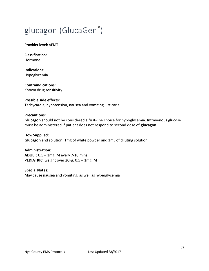# glucagon (GlucaGen®)

#### **Provider level:** AEMT

**Classification:** Hormone

**Indications:** Hypoglycemia

**Contraindications:** Known drug sensitivity

#### **Possible side effects:**

Tachycardia, hypotension, nausea and vomiting, urticaria

#### **Precautions:**

**Glucagon** should not be considered a first-line choice for hypoglycemia. Intravenous glucose must be administered if patient does not respond to second dose of **glucagon**.

# **How Supplied: Glucagon** and solution: 1mg of white powder and 1mL of diluting solution

**Administration: ADULT:** 0.5 – 1mg IM every 7-10 mins. **PEDIATRIC:** weight over 20kg, 0.5 – 1mg IM

#### **Special Notes:**

May cause nausea and vomiting, as well as hyperglycemia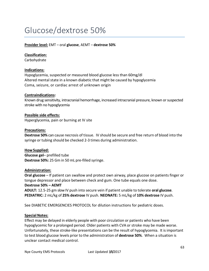# Glucose/dextrose 50%

### **Provider level:** EMT – oral **glucose**, AEMT – **dextrose 50%**

#### **Classification:**

Carbohydrate

#### **Indications:**

Hypoglycemia, suspected or measured blood glucose less than 60mg/dl Altered mental state in a known diabetic that might be caused by hypoglycemia Coma, seizure, or cardiac arrest of unknown origin

#### **Contraindications:**

Known drug sensitivity, intracranial hemorrhage, increased intracranial pressure, known or suspected stroke with no hypoglycemia

#### **Possible side effects:**

Hyperglycemia, pain or burning at IV site

#### **Precautions:**

**Dextrose 50%** can cause necrosis of tissue. IV should be secure and free return of blood into the syringe or tubing should be checked 2-3 times during administration.

#### **How Supplied:**

**Glucose gel**– prefilled tube **Dextrose 50%:** 25 Gm in 50 mL pre-filled syringe.

#### **Administration:**

**Oral glucose** – If patient can swallow and protect own airway, place glucose on patients finger or tongue depressor and place between check and gum. One tube equals one dose. **Dextrose 50% – AEMT** 

**ADULT:** 12.5-25 gm slow IV push into secure vein if patient unable to tolerate **oral glucose**. **PEDIATRIC:** 2 mL/kg of **25% dextrose** IV push. **NEONATE:** 5 mL/kg of **10% dextrose** IV push.

See DIABETIC EMERGENCIES PROTOCOL for dilution instructions for pediatric doses.

#### **Special Notes:**

Effect may be delayed in elderly people with poor circulation or patients who have been hypoglycemic for a prolonged period. Older patients with CVA or stroke may be made worse. Unfortunately, these stroke-like presentations can be the result of hypoglycemia. It isimportant to test blood glucose levels prior to the administration of **dextrose 50%**. When a situation is unclear contact medical control.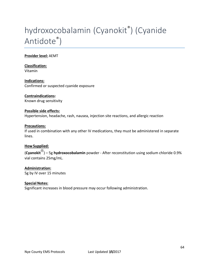# hydroxocobalamin (Cyanokit® ) (Cyanide Antidote® )

### **Provider level:** AEMT

**Classification:** Vitamin

**Indications:** Confirmed or suspected cyanide exposure

### **Contraindications:**

Known drug sensitivity

### **Possible side effects:**

Hypertension, headache, rash, nausea, injection site reactions, and allergic reaction

#### **Precautions:**

If used in combination with any other IV medications, they must be administered in separate lines.

#### **How Supplied:**

(**Cyanokit**® ) – 5g **hydroxocobalamin** powder - After reconstitution using sodium chloride 0.9% vial contains 25mg/mL.

#### **Administration:**

5g by IV over 15 minutes

#### **Special Notes:**

Significant increases in blood pressure may occur following administration.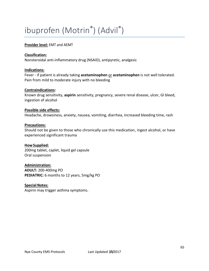# ibuprofen (Motrin® ) (Advil® )

### **Provider level:** EMT and AEMT

#### **Classification:**

Nonsteroidal anti-inflammatory drug (NSAID), antipyretic, analgesic

#### **Indications:**

Fever - if patient is already taking **acetaminophen** or **acetaminophen** is not well tolerated. Pain from mild to moderate injury with no bleeding

#### **Contraindications:**

Known drug sensitivity, **aspirin** sensitivity, pregnancy, severe renal disease, ulcer, GI bleed, ingestion of alcohol

#### **Possible side effects:**

Headache, drowsiness, anxiety, nausea, vomiting, diarrhea, increased bleeding time, rash

#### **Precautions:**

Should not be given to those who chronically use this medication, ingest alcohol, or have experienced significant trauma

#### **How Supplied:**

200mg tablet, caplet, liquid gel capsule Oral suspension

### **Administration:**

**ADULT:** 200-400mg PO **PEDIATRIC:** 6 months to 12 years, 5mg/kg PO

#### **Special Notes:**

Aspirin may trigger asthma symptoms.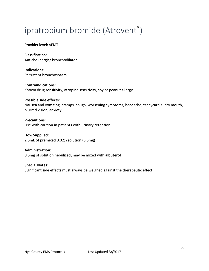# ipratropium bromide (Atrovent®)

### **Provider level:** AEMT

**Classification:** Anticholinergic/ bronchodilator

**Indications:** Persistent bronchospasm

**Contraindications:** Known drug sensitivity, atropine sensitivity, soy or peanut allergy

#### **Possible side effects:**

Nausea and vomiting, cramps, cough, worsening symptoms, headache, tachycardia, dry mouth, blurred vision, anxiety

### **Precautions:**

Use with caution in patients with urinary retention

**How Supplied:** 2.5mL of premixed 0.02% solution (0.5mg)

**Administration:** 0.5mg of solution nebulized, may be mixed with **albuterol** 

**Special Notes:** Significant side effects must always be weighed against the therapeutic effect.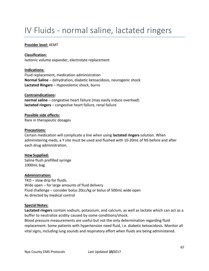# IV Fluids - normal saline, lactated ringers

#### **Provider level:** AEMT

#### **Classification:**

Isotonic volume expander, electrolyte replacement

#### **Indications:**

Fluid replacement, medication administration **Normal Saline** – dehydration, diabetic ketoacidosis, neurogenic shock **Lactated Ringers** – Hypovolemic shock, burns

#### **Contraindications:**

**normal saline** – congestive heart failure (may easily induce overload) **lactated ringers** – congestive heart failure, renal failure

### **Possible side effects:**

Rare in therapeutic dosages

#### **Precautions:**

Certain medication will complicate a line when using **lactated ringers** solution. When administering meds, a Y site must be used and flushed with 10-20mL of NS before and after each drug administration.

#### **How Supplied:**

Saline flush prefilled syringe 1000mL bag

#### **Administration:**

TKO – slow drip for fluids. Wide open – for large amounts of fluid delivery Fluid challenge – consider bolus 20cc/kg or bolus of 500mL wide open As directed by medical control

#### **Special Notes:**

**Lactated ringers** contain sodium, potassium, and calcium, as well as lactate which can act as a buffer to neutralize acidity caused by some conditions/shock.

Blood pressure measurements are useful but not the only determination regarding fluid replacement. Some patients with hypertension need fluid, i.e. diabetic ketoacidosis. Monitor all vital signs, including lung sounds and respiratory effort when fluids are being administered.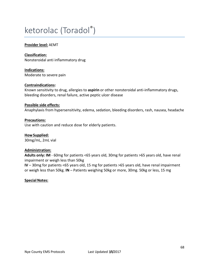# ketorolac (Toradol® )

#### **Provider level:** AEMT

**Classification:** Nonsteroidal anti inflammatory drug

**Indications:** Moderate to severe pain

#### **Contraindications:**

Known sensitivity to drug, allergies to **aspirin** or other nonsteroidal anti-inflammatory drugs, bleeding disorders, renal failure, active peptic ulcer disease

#### **Possible side effects:**

Anaphylaxis from hypersensitivity, edema, sedation, bleeding disorders, rash, nausea, headache

### **Precautions:**

Use with caution and reduce dose for elderly patients.

**How Supplied:** 30mg/mL, 2mL vial

#### **Administration:**

**Adults only: IM** - 60mg for patients <65 years old, 30mg for patients >65 years old, have renal impairment or weigh less than 50kg

**IV** – 30mg for patients <65 years old, 15 mg for patients >65 years old, have renal impairment or weigh less than 50kg. **IN** – Patients weighing 50kg or more, 30mg. 50kg or less, 15 mg

#### **Special Notes:**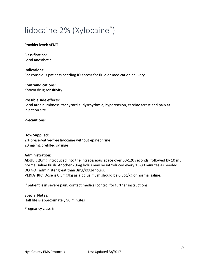# lidocaine 2% (Xylocaine®)

#### **Provider level:** AEMT

**Classification:** Local anesthetic

**Indications:** For conscious patients needing IO access for fluid or medication delivery

**Contraindications:** Known drug sensitivity

#### **Possible side effects:**

Local area numbness, tachycardia, dysrhythmia, hypotension, cardiac arrest and pain at injection site

#### **Precautions:**

#### **How Supplied:**

2% preservative-free lidocaine without epinephrine 20mg/mL prefilled syringe

#### **Administration:**

**ADULT:** 20mg introduced into the intraosseous space over 60-120 seconds, followed by 10 mL normal saline flush. Another 20mg bolus may be introduced every 15-30 minutes as needed. DO NOT administer great than 3mg/kg/24hours. **PEDIATRIC:** Dose is 0.5mg/kg as a bolus, flush should be 0.5cc/kg of normal saline.

If patient is in severe pain, contact medical control for further instructions.

**Special Notes:** Half life is approximately 90 minutes

Pregnancy class B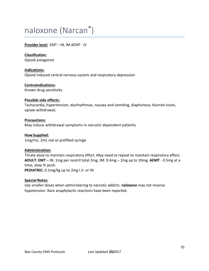# naloxone (Narcan® )

### **Provider level:** EMT – IN, IM AEMT - IV

**Classification:** Opioid antagonist

**Indications:** Opioid induced central nervous system and respiratory depression

**Contraindications:** Known drug sensitivity

#### **Possible side effects:**

Tachycardia, hypertension, dysrhythmias, nausea and vomiting, diaphoresis, blurred vision, opiate withdrawal,

#### **Precautions:**

May induce withdrawal symptoms in narcotic dependent patients

**How Supplied:** 1mg/mL, 2mL vial or prefilled syringe

### **Administration:**

Titrate dose to maintain respiratory effort. May need to repeat to maintain respiratory effect. **ADULT: EMT** – IN: 1mg per nostril total 2mg, IM: 0.4mg – 2mg up to 10mg. **AEMT** - 0.5mg at a time, slow IV push.

**PEDIATRIC:** 0.1mg/kg up to 2mg I.V. or IN

#### **Special Notes:**

Use smaller doses when administering to narcotic addicts. **naloxone** may not reverse hypotension. Rare anaphylactic reactions have been reported.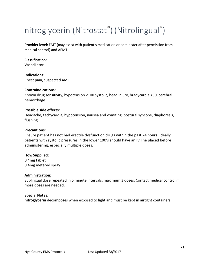# nitroglycerin (Nitrostat® ) (Nitrolingual® )

**Provider level:** EMT (may assist with patient's medication or administer after permission from medical control) and AEMT

#### **Classification:**

Vasodilator

**Indications:** Chest pain, suspected AMI

#### **Contraindications:**

Known drug sensitivity, hypotension <100 systolic, head injury, bradycardia <50, cerebral hemorrhage

#### **Possible side effects:**

Headache, tachycardia, hypotension, nausea and vomiting, postural syncope, diaphoresis, flushing

#### **Precautions:**

Ensure patient has not had erectile dysfunction drugs within the past 24 hours. Ideally patients with systolic pressures in the lower 100's should have an IV line placed before administering, especially multiple doses.

#### **How Supplied:**

0.4mg tablet 0.4mg metered spray

#### **Administration:**

Sublingual dose repeated in 5 minute intervals, maximum 3 doses. Contact medical control if more doses are needed.

#### **Special Notes:**

**nitroglycerin** decomposes when exposed to light and must be kept in airtight containers.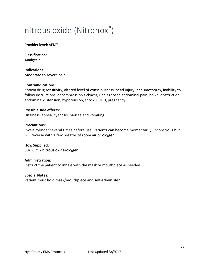# nitrous oxide (Nitronox®)

#### **Provider level:** AEMT

**Classification:** Analgesic

**Indications:** Moderate to severe pain

#### **Contraindications:**

Known drug sensitivity, altered level of consciousness, head injury, pneumothorax, inability to follow instructions, decompression sickness, undiagnosed abdominal pain, bowel obstruction, abdominal distension, hypotension, shock, COPD, pregnancy

#### **Possible side effects:**

Dizziness, apnea, cyanosis, nausea and vomiting

#### **Precautions:**

Invert cylinder several times before use. Patients can become momentarily unconscious but will reverse with a few breaths of room air or **oxygen**.

**How Supplied:** 50/50 mix **nitrous oxide**/**oxygen**

#### **Administration:**

Instruct the patient to inhale with the mask or mouthpiece as needed

#### **Special Notes:**

Patient must hold mask/mouthpiece and self-administer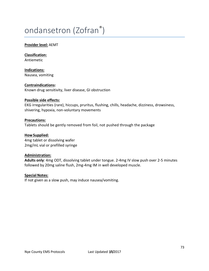# ondansetron (Zofran® )

#### **Provider level:** AEMT

**Classification:** Antiemetic

**Indications:** Nausea, vomiting

**Contraindications:** Known drug sensitivity, liver disease, GI obstruction

#### **Possible side effects:**

EKG irregularities (rare), hiccups, pruritus, flushing, chills, headache, dizziness, drowsiness, shivering, hypoxia, non-voluntary movements

#### **Precautions:**

Tablets should be gently removed from foil, not pushed through the package

#### **How Supplied:** 4mg tablet or dissolving wafer

2mg/mL vial or prefilled syringe

#### **Administration:**

**Adults only**: 4mg ODT, dissolving tablet under tongue. 2-4mg IV slow push over 2-5 minutes followed by 20mg saline flush, 2mg-4mg IM in well developed muscle.

#### **Special Notes:**

If not given as a slow push, may induce nausea/vomiting.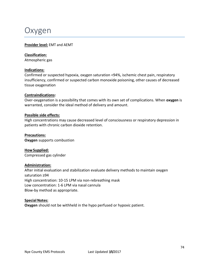### Oxygen

#### **Provider level:** EMT and AEMT

#### **Classification:**

Atmospheric gas

#### **Indications:**

Confirmed or suspected hypoxia, oxygen saturation <94%, ischemic chest pain, respiratory insufficiency, confirmed or suspected carbon monoxide poisoning, other causes of decreased tissue oxygenation

#### **Contraindications:**

Over-oxygenation is a possibility that comes with its own set of complications. When **oxygen** is warranted, consider the ideal method of delivery and amount.

#### **Possible side effects:**

High concentrations may cause decreased level of consciousness or respiratory depression in patients with chronic carbon dioxide retention.

#### **Precautions:**

**Oxygen** supports combustion

**How Supplied:** Compressed gas cylinder

#### **Administration:**

After initial evaluation and stabilization evaluate delivery methods to maintain oxygen saturation ≥94 High concentration: 10-15 LPM via non-rebreathing mask Low concentration: 1-6 LPM via nasal cannula Blow-by method as appropriate.

#### **Special Notes:**

**Oxygen** should not be withheld in the hypo perfused or hypoxic patient.